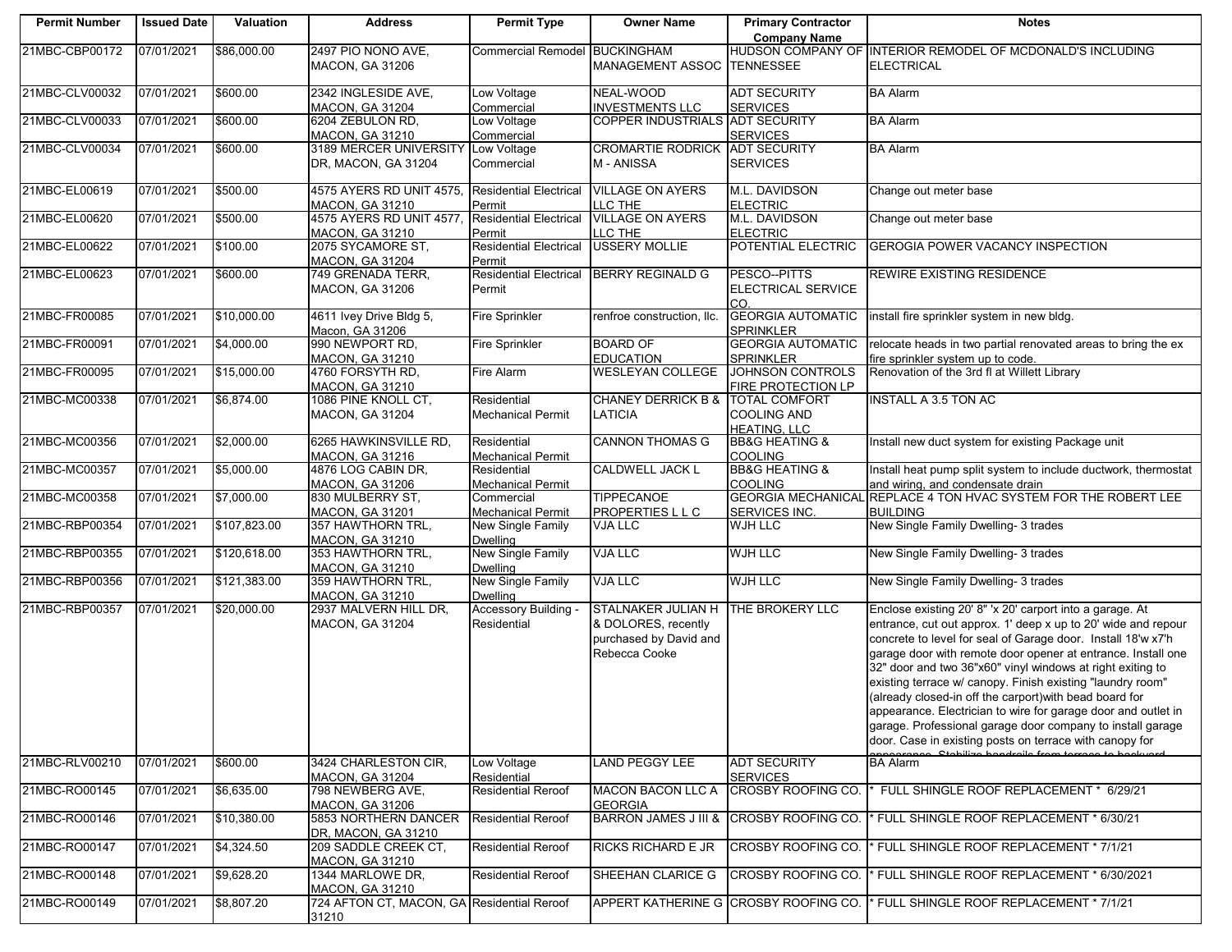| <b>Permit Number</b> | <b>Issued Date</b> | Valuation    | <b>Address</b>                                      | <b>Permit Type</b>                          | <b>Owner Name</b>                                                                           | <b>Primary Contractor</b>                                  | <b>Notes</b>                                                                                                                                                                                                                                                                                                                                                                                                                                                                                                                                                                                                                                                          |
|----------------------|--------------------|--------------|-----------------------------------------------------|---------------------------------------------|---------------------------------------------------------------------------------------------|------------------------------------------------------------|-----------------------------------------------------------------------------------------------------------------------------------------------------------------------------------------------------------------------------------------------------------------------------------------------------------------------------------------------------------------------------------------------------------------------------------------------------------------------------------------------------------------------------------------------------------------------------------------------------------------------------------------------------------------------|
|                      |                    |              |                                                     |                                             |                                                                                             | <b>Company Name</b>                                        |                                                                                                                                                                                                                                                                                                                                                                                                                                                                                                                                                                                                                                                                       |
| 21MBC-CBP00172       | 07/01/2021         | \$86,000.00  | 2497 PIO NONO AVE,<br><b>MACON, GA 31206</b>        | Commercial Remodel BUCKINGHAM               | MANAGEMENT ASSOC TENNESSEE                                                                  |                                                            | HUDSON COMPANY OF INTERIOR REMODEL OF MCDONALD'S INCLUDING<br><b>ELECTRICAL</b>                                                                                                                                                                                                                                                                                                                                                                                                                                                                                                                                                                                       |
| 21MBC-CLV00032       | 07/01/2021         | \$600.00     | 2342 INGLESIDE AVE,<br>MACON, GA 31204              | Low Voltage<br>Commercial                   | NEAL-WOOD<br><b>INVESTMENTS LLC</b>                                                         | <b>ADT SECURITY</b><br><b>SERVICES</b>                     | <b>BA Alarm</b>                                                                                                                                                                                                                                                                                                                                                                                                                                                                                                                                                                                                                                                       |
| 21MBC-CLV00033       | 07/01/2021         | \$600.00     | 6204 ZEBULON RD,<br>MACON, GA 31210                 | Low Voltage<br>Commercial                   | COPPER INDUSTRIALS ADT SECURITY                                                             | <b>SERVICES</b>                                            | <b>BA Alarm</b>                                                                                                                                                                                                                                                                                                                                                                                                                                                                                                                                                                                                                                                       |
| 21MBC-CLV00034       | 07/01/2021         | \$600.00     | 3189 MERCER UNIVERSITY<br>DR, MACON, GA 31204       | Low Voltage<br>Commercial                   | <b>CROMARTIE RODRICK</b><br>M - ANISSA                                                      | <b>ADT SECURITY</b><br><b>SERVICES</b>                     | <b>BA Alarm</b>                                                                                                                                                                                                                                                                                                                                                                                                                                                                                                                                                                                                                                                       |
| 21MBC-EL00619        | 07/01/2021         | \$500.00     | 4575 AYERS RD UNIT 4575,<br>MACON, GA 31210         | <b>Residential Electrical</b><br>Permit     | <b>VILLAGE ON AYERS</b><br>LLC THE                                                          | M.L. DAVIDSON<br><b>ELECTRIC</b>                           | Change out meter base                                                                                                                                                                                                                                                                                                                                                                                                                                                                                                                                                                                                                                                 |
| 21MBC-EL00620        | 07/01/2021         | \$500.00     | 4575 AYERS RD UNIT 4577,<br><b>MACON, GA 31210</b>  | <b>Residential Electrical</b><br>Permit     | <b>VILLAGE ON AYERS</b><br>LLC THE                                                          | M.L. DAVIDSON<br><b>ELECTRIC</b>                           | Change out meter base                                                                                                                                                                                                                                                                                                                                                                                                                                                                                                                                                                                                                                                 |
| 21MBC-EL00622        | 07/01/2021         | \$100.00     | 2075 SYCAMORE ST,<br>MACON, GA 31204                | <b>Residential Electrical</b><br>Permit     | <b>USSERY MOLLIE</b>                                                                        | POTENTIAL ELECTRIC                                         | <b>GEROGIA POWER VACANCY INSPECTION</b>                                                                                                                                                                                                                                                                                                                                                                                                                                                                                                                                                                                                                               |
| 21MBC-EL00623        | 07/01/2021         | \$600.00     | 749 GRENADA TERR,<br><b>MACON, GA 31206</b>         | Permit                                      | Residential Electrical BERRY REGINALD G                                                     | PESCO--PITTS<br>ELECTRICAL SERVICE<br>CO.                  | REWIRE EXISTING RESIDENCE                                                                                                                                                                                                                                                                                                                                                                                                                                                                                                                                                                                                                                             |
| 21MBC-FR00085        | 07/01/2021         | \$10,000.00  | 4611 Ivey Drive Bldg 5,<br>Macon, GA 31206          | <b>Fire Sprinkler</b>                       | renfroe construction, llc.                                                                  | <b>GEORGIA AUTOMATIC</b><br>SPRINKLER                      | install fire sprinkler system in new bldg.                                                                                                                                                                                                                                                                                                                                                                                                                                                                                                                                                                                                                            |
| 21MBC-FR00091        | 07/01/2021         | \$4,000.00   | 990 NEWPORT RD,<br>MACON, GA 31210                  | <b>Fire Sprinkler</b>                       | <b>BOARD OF</b><br><b>EDUCATION</b>                                                         | <b>GEORGIA AUTOMATIC</b><br>SPRINKLER                      | relocate heads in two partial renovated areas to bring the ex<br>fire sprinkler system up to code.                                                                                                                                                                                                                                                                                                                                                                                                                                                                                                                                                                    |
| 21MBC-FR00095        | 07/01/2021         | \$15,000.00  | 4760 FORSYTH RD,<br>MACON, GA 31210                 | Fire Alarm                                  | <b>WESLEYAN COLLEGE</b>                                                                     | <b>JOHNSON CONTROLS</b><br>FIRE PROTECTION LP              | Renovation of the 3rd fl at Willett Library                                                                                                                                                                                                                                                                                                                                                                                                                                                                                                                                                                                                                           |
| 21MBC-MC00338        | 07/01/2021         | \$6,874.00   | 1086 PINE KNOLL CT,<br><b>MACON, GA 31204</b>       | Residential<br><b>Mechanical Permit</b>     | <b>CHANEY DERRICK B &amp;</b><br>LATICIA                                                    | <b>TOTAL COMFORT</b><br>COOLING AND<br><b>HEATING, LLC</b> | <b>INSTALL A 3.5 TON AC</b>                                                                                                                                                                                                                                                                                                                                                                                                                                                                                                                                                                                                                                           |
| 21MBC-MC00356        | 07/01/2021         | \$2,000.00   | 6265 HAWKINSVILLE RD,<br><b>MACON, GA 31216</b>     | Residential<br><b>Mechanical Permit</b>     | <b>CANNON THOMAS G</b>                                                                      | <b>BB&amp;G HEATING &amp;</b><br><b>COOLING</b>            | Install new duct system for existing Package unit                                                                                                                                                                                                                                                                                                                                                                                                                                                                                                                                                                                                                     |
| 21MBC-MC00357        | 07/01/2021         | \$5,000.00   | 4876 LOG CABIN DR,<br><b>MACON, GA 31206</b>        | Residential<br><b>Mechanical Permit</b>     | <b>CALDWELL JACK L</b>                                                                      | <b>BB&amp;G HEATING &amp;</b><br><b>COOLING</b>            | Install heat pump split system to include ductwork, thermostat<br>and wiring, and condensate drain                                                                                                                                                                                                                                                                                                                                                                                                                                                                                                                                                                    |
| 21MBC-MC00358        | 07/01/2021         | \$7,000.00   | 830 MULBERRY ST,<br><b>MACON, GA 31201</b>          | Commercial<br><b>Mechanical Permit</b>      | <b>TIPPECANOE</b><br>PROPERTIES L L C                                                       | <b>GEORGIA MECHANICAL</b><br>SERVICES INC.                 | REPLACE 4 TON HVAC SYSTEM FOR THE ROBERT LEE<br><b>BUILDING</b>                                                                                                                                                                                                                                                                                                                                                                                                                                                                                                                                                                                                       |
| 21MBC-RBP00354       | 07/01/2021         | \$107,823.00 | 357 HAWTHORN TRL,<br><b>MACON, GA 31210</b>         | New Single Family<br><b>Dwelling</b>        | VJA LLC                                                                                     | <b>WJH LLC</b>                                             | New Single Family Dwelling- 3 trades                                                                                                                                                                                                                                                                                                                                                                                                                                                                                                                                                                                                                                  |
| 21MBC-RBP00355       | 07/01/2021         | \$120,618.00 | 353 HAWTHORN TRL,<br><b>MACON, GA 31210</b>         | <b>New Single Family</b><br><b>Dwelling</b> | <b>VJA LLC</b>                                                                              | <b>WJH LLC</b>                                             | New Single Family Dwelling- 3 trades                                                                                                                                                                                                                                                                                                                                                                                                                                                                                                                                                                                                                                  |
| 21MBC-RBP00356       | 07/01/2021         | \$121,383.00 | 359 HAWTHORN TRL,<br><b>MACON, GA 31210</b>         | New Single Family<br><b>Dwelling</b>        | <b>VJA LLC</b>                                                                              | <b>WJH LLC</b>                                             | New Single Family Dwelling- 3 trades                                                                                                                                                                                                                                                                                                                                                                                                                                                                                                                                                                                                                                  |
| 21MBC-RBP00357       | 07/01/2021         | \$20,000.00  | 2937 MALVERN HILL DR,<br>MACON, GA 31204            | Accessory Building<br>Residential           | <b>STALNAKER JULIAN H</b><br>& DOLORES, recently<br>purchased by David and<br>Rebecca Cooke | THE BROKERY LLC                                            | Enclose existing 20' 8" 'x 20' carport into a garage. At<br>entrance, cut out approx. 1' deep x up to 20' wide and repour<br>concrete to level for seal of Garage door. Install 18'w x7'h<br>garage door with remote door opener at entrance. Install one<br>32" door and two 36"x60" vinyl windows at right exiting to<br>existing terrace w/ canopy. Finish existing "laundry room"<br>(already closed-in off the carport) with bead board for<br>appearance. Electrician to wire for garage door and outlet in<br>garage. Professional garage door company to install garage<br>door. Case in existing posts on terrace with canopy for<br>Ctobilize bondroile fro |
| 21MBC-RLV00210       | 07/01/2021         | \$600.00     | 3424 CHARLESTON CIR,<br><b>MACON, GA 31204</b>      | Low Voltage<br>Residential                  | <b>LAND PEGGY LEE</b>                                                                       | ADT SECURITY<br><b>SERVICES</b>                            | <b>BA Alarm</b>                                                                                                                                                                                                                                                                                                                                                                                                                                                                                                                                                                                                                                                       |
| 21MBC-RO00145        | 07/01/2021         | \$6,635.00   | 798 NEWBERG AVE,<br>MACON, GA 31206                 | <b>Residential Reroof</b>                   | <b>MACON BACON LLC A</b><br><b>GEORGIA</b>                                                  | <b>CROSBY ROOFING CO.</b>                                  | FULL SHINGLE ROOF REPLACEMENT * 6/29/21                                                                                                                                                                                                                                                                                                                                                                                                                                                                                                                                                                                                                               |
| 21MBC-RO00146        | 07/01/2021         | \$10,380.00  | 5853 NORTHERN DANCER<br>DR, MACON, GA 31210         | <b>Residential Reroof</b>                   | <b>BARRON JAMES J III &amp;</b>                                                             | CROSBY ROOFING CO.                                         | <sup>1</sup> * FULL SHINGLE ROOF REPLACEMENT * 6/30/21                                                                                                                                                                                                                                                                                                                                                                                                                                                                                                                                                                                                                |
| 21MBC-RO00147        | 07/01/2021         | \$4,324.50   | 209 SADDLE CREEK CT.<br>MACON, GA 31210             | <b>Residential Reroof</b>                   | <b>RICKS RICHARD E JR</b>                                                                   |                                                            | CROSBY ROOFING CO. * FULL SHINGLE ROOF REPLACEMENT * 7/1/21                                                                                                                                                                                                                                                                                                                                                                                                                                                                                                                                                                                                           |
| 21MBC-RO00148        | 07/01/2021         | \$9,628.20   | 1344 MARLOWE DR,<br><b>MACON, GA 31210</b>          | <b>Residential Reroof</b>                   | SHEEHAN CLARICE G                                                                           |                                                            | CROSBY ROOFING CO. I* FULL SHINGLE ROOF REPLACEMENT * 6/30/2021                                                                                                                                                                                                                                                                                                                                                                                                                                                                                                                                                                                                       |
| 21MBC-RO00149        | 07/01/2021         | \$8,807.20   | 724 AFTON CT, MACON, GA Residential Reroof<br>31210 |                                             |                                                                                             |                                                            | APPERT KATHERINE G CROSBY ROOFING CO. I* FULL SHINGLE ROOF REPLACEMENT * 7/1/21                                                                                                                                                                                                                                                                                                                                                                                                                                                                                                                                                                                       |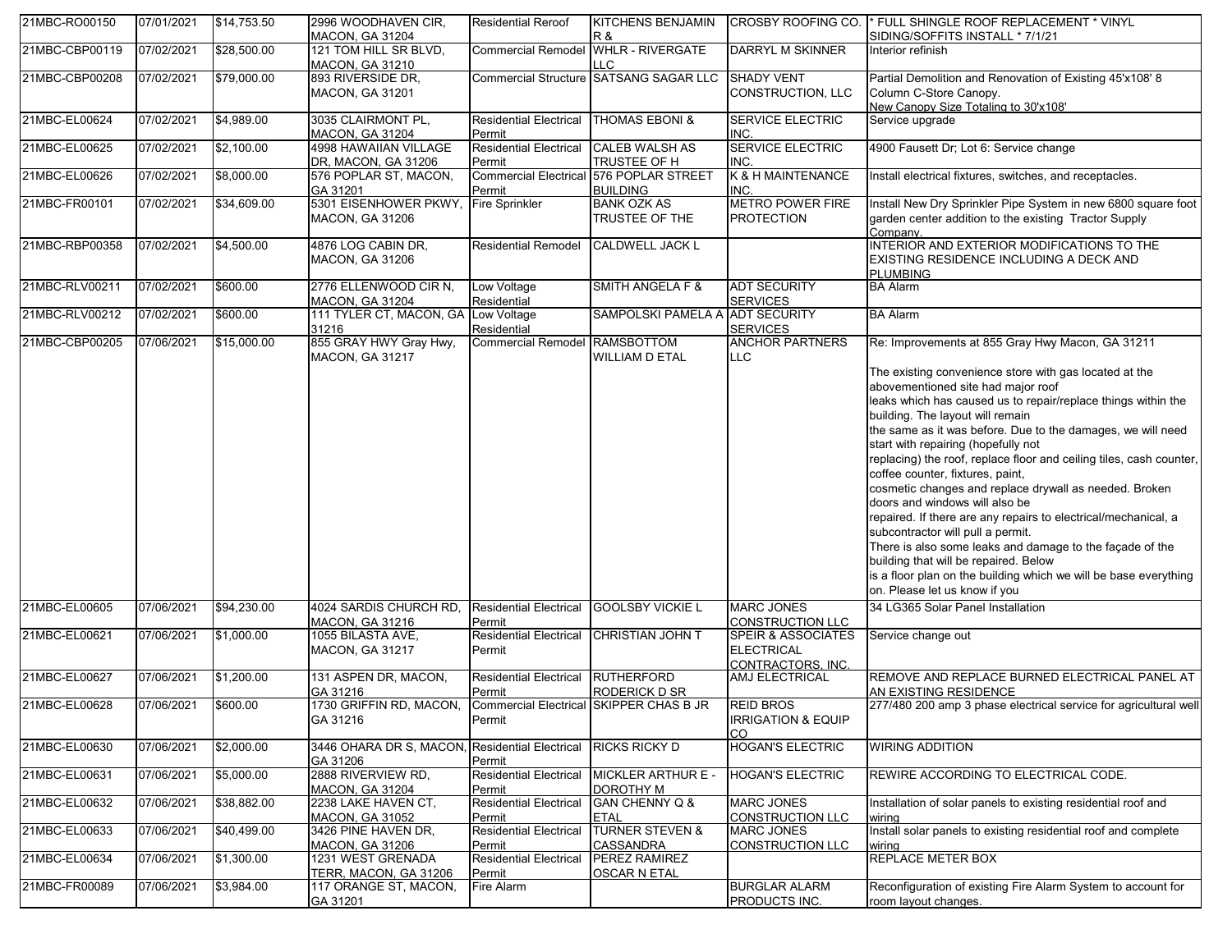| 21MBC-RO00150                   | 07/01/2021               | \$14,753.50                | 2996 WOODHAVEN CIR,<br><b>MACON, GA 31204</b>                              | <b>Residential Reroof</b>                                      | KITCHENS BENJAMIN<br>R &                                   | CROSBY ROOFING CO.                                       | * FULL SHINGLE ROOF REPLACEMENT * VINYL<br>SIDING/SOFFITS INSTALL * 7/1/21                                                                                                                                                                                                                                                                                                                                                                                                                                                                                                                                                                                                                                                                                                                                                                                                                                               |
|---------------------------------|--------------------------|----------------------------|----------------------------------------------------------------------------|----------------------------------------------------------------|------------------------------------------------------------|----------------------------------------------------------|--------------------------------------------------------------------------------------------------------------------------------------------------------------------------------------------------------------------------------------------------------------------------------------------------------------------------------------------------------------------------------------------------------------------------------------------------------------------------------------------------------------------------------------------------------------------------------------------------------------------------------------------------------------------------------------------------------------------------------------------------------------------------------------------------------------------------------------------------------------------------------------------------------------------------|
| 21MBC-CBP00119                  | 07/02/2021               | \$28,500.00                | 121 TOM HILL SR BLVD,<br><b>MACON, GA 31210</b>                            | <b>Commercial Remodel</b>                                      | <b>WHLR - RIVERGATE</b><br>T.C                             | <b>DARRYL M SKINNER</b>                                  | Interior refinish                                                                                                                                                                                                                                                                                                                                                                                                                                                                                                                                                                                                                                                                                                                                                                                                                                                                                                        |
| 21MBC-CBP00208                  | 07/02/2021               | \$79,000.00                | 893 RIVERSIDE DR,<br><b>MACON, GA 31201</b>                                |                                                                | Commercial Structure SATSANG SAGAR LLC                     | <b>SHADY VENT</b><br>CONSTRUCTION, LLC                   | Partial Demolition and Renovation of Existing 45'x108' 8<br>Column C-Store Canopy.<br>New Canopy Size Totaling to 30'x108'                                                                                                                                                                                                                                                                                                                                                                                                                                                                                                                                                                                                                                                                                                                                                                                               |
| 21MBC-EL00624                   | 07/02/2021               | \$4.989.00                 | 3035 CLAIRMONT PL,<br>MACON, GA 31204                                      | Residential Electrical THOMAS EBONI &<br>Permit                |                                                            | <b>SERVICE ELECTRIC</b><br>INC.                          | Service upgrade                                                                                                                                                                                                                                                                                                                                                                                                                                                                                                                                                                                                                                                                                                                                                                                                                                                                                                          |
| 21MBC-EL00625                   | 07/02/2021               | \$2,100.00                 | 4998 HAWAIIAN VILLAGE<br>DR, MACON, GA 31206                               | Residential Electrical CALEB WALSH AS<br>Permit                | TRUSTEE OF H                                               | <b>SERVICE ELECTRIC</b><br>INC.                          | 4900 Fausett Dr; Lot 6: Service change                                                                                                                                                                                                                                                                                                                                                                                                                                                                                                                                                                                                                                                                                                                                                                                                                                                                                   |
| 21MBC-EL00626                   | 07/02/2021               | \$8,000.00                 | 576 POPLAR ST, MACON,<br>GA 31201                                          | Permit                                                         | Commercial Electrical 576 POPLAR STREET<br><b>BUILDING</b> | K & H MAINTENANCE<br>INC.                                | Install electrical fixtures, switches, and receptacles.                                                                                                                                                                                                                                                                                                                                                                                                                                                                                                                                                                                                                                                                                                                                                                                                                                                                  |
| 21MBC-FR00101                   | 07/02/2021               | \$34,609.00                | 5301 EISENHOWER PKWY,<br><b>MACON, GA 31206</b>                            | <b>Fire Sprinkler</b>                                          | <b>BANK OZK AS</b><br>TRUSTEE OF THE                       | <b>METRO POWER FIRE</b><br><b>PROTECTION</b>             | Install New Dry Sprinkler Pipe System in new 6800 square foot<br>garden center addition to the existing Tractor Supply<br>Company.                                                                                                                                                                                                                                                                                                                                                                                                                                                                                                                                                                                                                                                                                                                                                                                       |
| 21MBC-RBP00358                  | 07/02/2021               | \$4,500.00                 | 4876 LOG CABIN DR.<br><b>MACON, GA 31206</b>                               | Residential Remodel                                            | <b>CALDWELL JACK L</b>                                     |                                                          | INTERIOR AND EXTERIOR MODIFICATIONS TO THE<br>EXISTING RESIDENCE INCLUDING A DECK AND<br><b>PLUMBING</b>                                                                                                                                                                                                                                                                                                                                                                                                                                                                                                                                                                                                                                                                                                                                                                                                                 |
| 21MBC-RLV00211                  | 07/02/2021               | \$600.00                   | 2776 ELLENWOOD CIR N.<br>MACON, GA 31204                                   | Low Voltage<br>Residential                                     | SMITH ANGELA F &                                           | <b>ADT SECURITY</b><br><b>SERVICES</b>                   | <b>BA Alarm</b>                                                                                                                                                                                                                                                                                                                                                                                                                                                                                                                                                                                                                                                                                                                                                                                                                                                                                                          |
| 21MBC-RLV00212                  | 07/02/2021               | \$600.00                   | 111 TYLER CT, MACON, GA<br>31216                                           | Low Voltage<br>Residential                                     | <b>SAMPOLSKI PAMELA A</b>                                  | <b>ADT SECURITY</b><br><b>SERVICES</b>                   | <b>BA Alarm</b>                                                                                                                                                                                                                                                                                                                                                                                                                                                                                                                                                                                                                                                                                                                                                                                                                                                                                                          |
| 21MBC-CBP00205<br>21MBC-EL00605 | 07/06/2021<br>07/06/2021 | \$15,000.00<br>\$94,230.00 | 855 GRAY HWY Gray Hwy,<br><b>MACON, GA 31217</b><br>4024 SARDIS CHURCH RD. | Commercial Remodel RAMSBOTTOM<br><b>Residential Electrical</b> | WILLIAM D ETAL<br><b>GOOLSBY VICKIE L</b>                  | <b>ANCHOR PARTNERS</b><br>LLC<br><b>MARC JONES</b>       | Re: Improvements at 855 Gray Hwy Macon, GA 31211<br>The existing convenience store with gas located at the<br>abovementioned site had major roof<br>leaks which has caused us to repair/replace things within the<br>building. The layout will remain<br>the same as it was before. Due to the damages, we will need<br>start with repairing (hopefully not<br>replacing) the roof, replace floor and ceiling tiles, cash counter,<br>coffee counter, fixtures, paint,<br>cosmetic changes and replace drywall as needed. Broken<br>doors and windows will also be<br>repaired. If there are any repairs to electrical/mechanical, a<br>subcontractor will pull a permit.<br>There is also some leaks and damage to the façade of the<br>building that will be repaired. Below<br>is a floor plan on the building which we will be base everything<br>on. Please let us know if you<br>34 LG365 Solar Panel Installation |
| 21MBC-EL00621                   | 07/06/2021               | \$1,000.00                 | <b>MACON, GA 31216</b><br>1055 BILASTA AVE,                                | Permit<br><b>Residential Electrical</b>                        | CHRISTIAN JOHN T                                           | <b>CONSTRUCTION LLC</b><br><b>SPEIR &amp; ASSOCIATES</b> | Service change out                                                                                                                                                                                                                                                                                                                                                                                                                                                                                                                                                                                                                                                                                                                                                                                                                                                                                                       |
|                                 |                          |                            | <b>MACON, GA 31217</b>                                                     | Permit                                                         |                                                            | <b>ELECTRICAL</b><br>CONTRACTORS, INC.                   |                                                                                                                                                                                                                                                                                                                                                                                                                                                                                                                                                                                                                                                                                                                                                                                                                                                                                                                          |
| 21MBC-EL00627                   | 07/06/2021               | \$1,200.00                 | 131 ASPEN DR. MACON.<br>GA 31216                                           | <b>Residential Electrical</b><br>Permit                        | <b>RUTHERFORD</b><br>RODERICK D SR                         | AMJ ELECTRICAL                                           | REMOVE AND REPLACE BURNED ELECTRICAL PANEL AT<br>AN EXISTING RESIDENCE                                                                                                                                                                                                                                                                                                                                                                                                                                                                                                                                                                                                                                                                                                                                                                                                                                                   |
| 21MBC-EL00628                   | 07/06/2021               | \$600.00                   | 1730 GRIFFIN RD, MACON,<br>GA 31216                                        | Permit                                                         | Commercial Electrical SKIPPER CHAS B JR                    | <b>REID BROS</b><br><b>IRRIGATION &amp; EQUIP</b><br>CO  | 277/480 200 amp 3 phase electrical service for agricultural well                                                                                                                                                                                                                                                                                                                                                                                                                                                                                                                                                                                                                                                                                                                                                                                                                                                         |
| 21MBC-EL00630                   | 07/06/2021               | \$2,000.00                 | 3446 OHARA DR S, MACON<br>GA 31206                                         | <b>Residential Electrical</b><br>Permit                        | <b>RICKS RICKY D</b>                                       | <b>HOGAN'S ELECTRIC</b>                                  | <b>WIRING ADDITION</b>                                                                                                                                                                                                                                                                                                                                                                                                                                                                                                                                                                                                                                                                                                                                                                                                                                                                                                   |
| 21MBC-EL00631                   | 07/06/2021               | \$5,000.00                 | 2888 RIVERVIEW RD,<br>MACON, GA 31204                                      | <b>Residential Electrical</b><br>Permit                        | MICKLER ARTHUR E<br>DOROTHY M                              | HOGAN'S ELECTRIC                                         | REWIRE ACCORDING TO ELECTRICAL CODE.                                                                                                                                                                                                                                                                                                                                                                                                                                                                                                                                                                                                                                                                                                                                                                                                                                                                                     |
| 21MBC-EL00632                   | 07/06/2021               | \$38,882.00                | 2238 LAKE HAVEN CT.<br><b>MACON, GA 31052</b>                              | <b>Residential Electrical</b><br>Permit                        | GAN CHENNY Q &<br><b>ETAL</b>                              | <b>MARC JONES</b><br><b>CONSTRUCTION LLC</b>             | Installation of solar panels to existing residential roof and<br>wiring                                                                                                                                                                                                                                                                                                                                                                                                                                                                                                                                                                                                                                                                                                                                                                                                                                                  |
| 21MBC-EL00633                   | 07/06/2021               | \$40,499.00                | 3426 PINE HAVEN DR,<br>MACON, GA 31206                                     | <b>Residential Electrical</b><br>Permit                        | <b>TURNER STEVEN &amp;</b><br>CASSANDRA                    | <b>MARC JONES</b><br><b>CONSTRUCTION LLC</b>             | Install solar panels to existing residential roof and complete<br>wiring                                                                                                                                                                                                                                                                                                                                                                                                                                                                                                                                                                                                                                                                                                                                                                                                                                                 |
| 21MBC-EL00634                   | 07/06/2021               | \$1,300.00                 | 1231 WEST GRENADA<br>TERR. MACON. GA 31206                                 | <b>Residential Electrical</b><br>Permit                        | PEREZ RAMIREZ<br><b>OSCAR N ETAL</b>                       |                                                          | <b>REPLACE METER BOX</b>                                                                                                                                                                                                                                                                                                                                                                                                                                                                                                                                                                                                                                                                                                                                                                                                                                                                                                 |
| 21MBC-FR00089                   | 07/06/2021               | \$3,984.00                 | 117 ORANGE ST, MACON,<br>GA 31201                                          | Fire Alarm                                                     |                                                            | <b>BURGLAR ALARM</b><br>PRODUCTS INC.                    | Reconfiguration of existing Fire Alarm System to account for<br>room layout changes.                                                                                                                                                                                                                                                                                                                                                                                                                                                                                                                                                                                                                                                                                                                                                                                                                                     |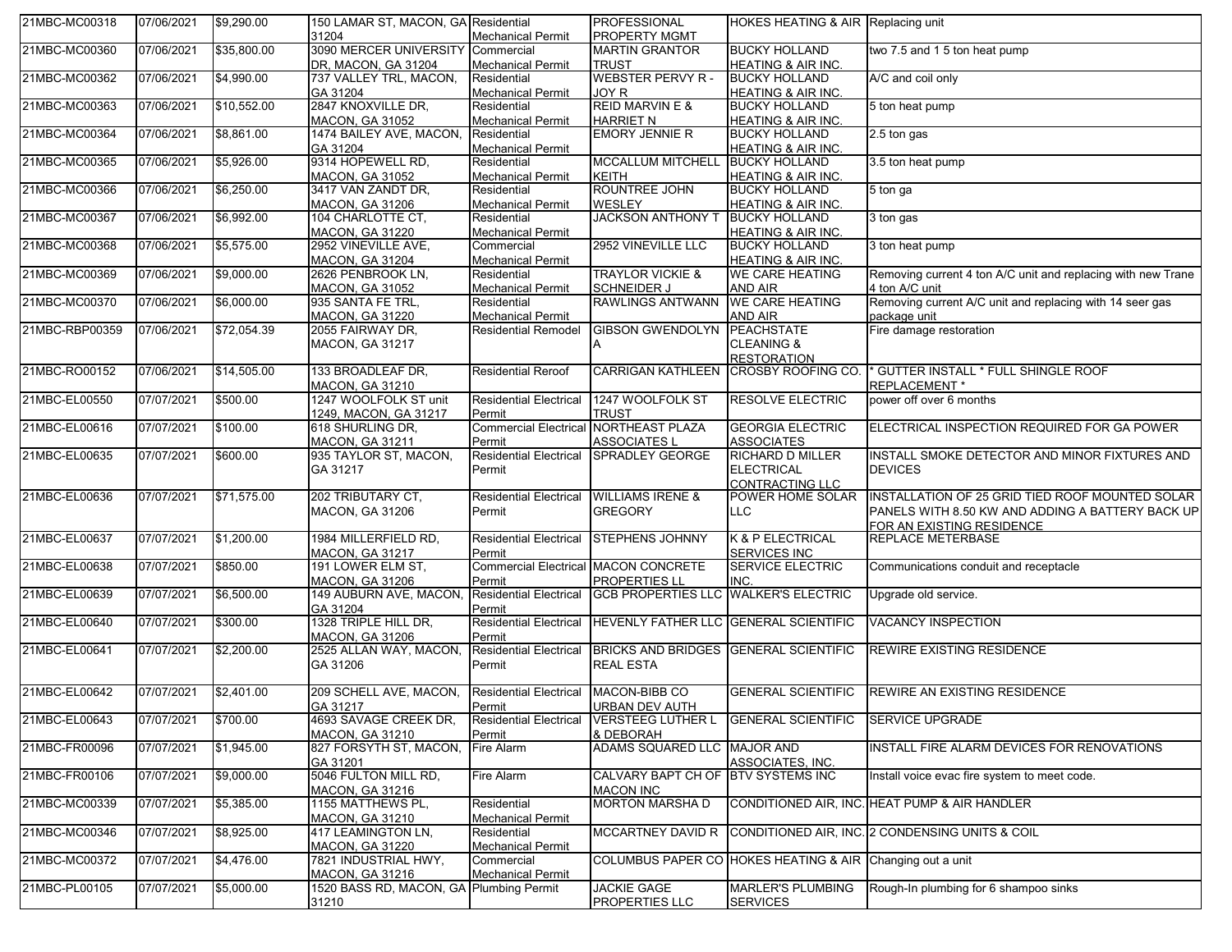| 21MBC-MC00318  | 07/06/2021 | \$9,290.00  | 150 LAMAR ST, MACON, GA Residential              |                                      | PROFESSIONAL                                                 | HOKES HEATING & AIR Replacing unit                        |                                                                                                                                            |
|----------------|------------|-------------|--------------------------------------------------|--------------------------------------|--------------------------------------------------------------|-----------------------------------------------------------|--------------------------------------------------------------------------------------------------------------------------------------------|
|                |            |             | 31204                                            | <b>Mechanical Permit</b>             | <b>PROPERTY MGMT</b>                                         |                                                           |                                                                                                                                            |
| 21MBC-MC00360  | 07/06/2021 | \$35,800.00 | 3090 MERCER UNIVERSITY                           | Commercial                           | <b>MARTIN GRANTOR</b>                                        | <b>BUCKY HOLLAND</b>                                      | two 7.5 and 1 5 ton heat pump                                                                                                              |
|                |            |             | DR, MACON, GA 31204                              | <b>Mechanical Permit</b>             | TRUST                                                        | <b>HEATING &amp; AIR INC.</b>                             |                                                                                                                                            |
| 21MBC-MC00362  | 07/06/2021 | \$4,990.00  | 737 VALLEY TRL, MACON,                           | Residential                          | <b>WEBSTER PERVY R-</b>                                      | <b>BUCKY HOLLAND</b>                                      | A/C and coil only                                                                                                                          |
|                |            |             | GA 31204                                         | <b>Mechanical Permit</b>             | JOY R                                                        | HEATING & AIR INC.                                        |                                                                                                                                            |
| 21MBC-MC00363  | 07/06/2021 | \$10,552.00 | 2847 KNOXVILLE DR,                               | Residential                          | <b>REID MARVIN E &amp;</b>                                   | <b>BUCKY HOLLAND</b>                                      | 5 ton heat pump                                                                                                                            |
|                |            |             | <b>MACON, GA 31052</b>                           | <b>Mechanical Permit</b>             | <b>HARRIET N</b>                                             | <b>HEATING &amp; AIR INC.</b>                             |                                                                                                                                            |
| 21MBC-MC00364  | 07/06/2021 | \$8,861.00  | 1474 BAILEY AVE, MACON,                          | Residential                          | <b>EMORY JENNIE R</b>                                        | <b>BUCKY HOLLAND</b>                                      | 2.5 ton gas                                                                                                                                |
|                |            |             | GA 31204                                         | <b>Mechanical Permit</b>             |                                                              | HEATING & AIR INC.                                        |                                                                                                                                            |
| 21MBC-MC00365  | 07/06/2021 | \$5,926.00  | 9314 HOPEWELL RD,                                | Residential                          | <b>MCCALLUM MITCHELL</b>                                     | <b>BUCKY HOLLAND</b>                                      | 3.5 ton heat pump                                                                                                                          |
|                |            |             | <b>MACON, GA 31052</b>                           | <b>Mechanical Permit</b>             | <b>KEITH</b>                                                 | <b>HEATING &amp; AIR INC.</b>                             |                                                                                                                                            |
| 21MBC-MC00366  | 07/06/2021 | \$6,250.00  | 3417 VAN ZANDT DR,                               | Residential                          | ROUNTREE JOHN                                                | <b>BUCKY HOLLAND</b>                                      | 5 ton ga                                                                                                                                   |
|                |            |             | <b>MACON, GA 31206</b>                           | <b>Mechanical Permit</b>             | WESLEY                                                       | <b>HEATING &amp; AIR INC.</b>                             |                                                                                                                                            |
| 21MBC-MC00367  | 07/06/2021 | \$6,992.00  | 104 CHARLOTTE CT,                                | Residential                          | <b>JACKSON ANTHONY T</b>                                     | <b>BUCKY HOLLAND</b>                                      | 3 ton gas                                                                                                                                  |
|                |            |             | <b>MACON, GA 31220</b>                           | <b>Mechanical Permit</b>             |                                                              | <b>HEATING &amp; AIR INC.</b>                             |                                                                                                                                            |
| 21MBC-MC00368  | 07/06/2021 | \$5,575.00  | 2952 VINEVILLE AVE,                              | Commercial                           | 2952 VINEVILLE LLC                                           | <b>BUCKY HOLLAND</b>                                      | 3 ton heat pump                                                                                                                            |
|                |            |             | <b>MACON, GA 31204</b>                           | <b>Mechanical Permit</b>             |                                                              | HEATING & AIR INC.                                        |                                                                                                                                            |
| 21MBC-MC00369  | 07/06/2021 | \$9,000.00  | 2626 PENBROOK LN,                                | Residential                          | <b>TRAYLOR VICKIE &amp;</b>                                  | <b>WE CARE HEATING</b>                                    | Removing current 4 ton A/C unit and replacing with new Trane                                                                               |
|                |            |             | <b>MACON, GA 31052</b>                           | <b>Mechanical Permit</b>             | <b>SCHNEIDER J</b>                                           | <b>AND AIR</b>                                            | 4 ton A/C unit                                                                                                                             |
| 21MBC-MC00370  | 07/06/2021 | \$6,000.00  | 935 SANTA FE TRL,                                | Residential                          | <b>RAWLINGS ANTWANN</b>                                      | <b>WE CARE HEATING</b>                                    | Removing current A/C unit and replacing with 14 seer gas                                                                                   |
|                |            |             | <b>MACON, GA 31220</b>                           | <b>Mechanical Permit</b>             |                                                              | <b>AND AIR</b>                                            | package unit                                                                                                                               |
| 21MBC-RBP00359 | 07/06/2021 | \$72,054.39 | 2055 FAIRWAY DR,                                 | <b>Residential Remodel</b>           | <b>GIBSON GWENDOLYN</b>                                      | <b>PEACHSTATE</b>                                         | Fire damage restoration                                                                                                                    |
|                |            |             |                                                  |                                      |                                                              | <b>CLEANING &amp;</b>                                     |                                                                                                                                            |
|                |            |             | <b>MACON, GA 31217</b>                           |                                      |                                                              |                                                           |                                                                                                                                            |
|                |            |             |                                                  |                                      |                                                              | <b>RESTORATION</b>                                        | * GUTTER INSTALL * FULL SHINGLE ROOF                                                                                                       |
| 21MBC-RO00152  | 07/06/2021 | \$14,505.00 | 133 BROADLEAF DR,                                | <b>Residential Reroof</b>            | <b>CARRIGAN KATHLEEN</b>                                     | <b>CROSBY ROOFING CO.</b>                                 |                                                                                                                                            |
|                |            |             | MACON, GA 31210                                  |                                      |                                                              |                                                           | REPLACEMENT *                                                                                                                              |
| 21MBC-EL00550  | 07/07/2021 | \$500.00    | 1247 WOOLFOLK ST unit                            | <b>Residential Electrical</b>        | 1247 WOOLFOLK ST                                             | <b>RESOLVE ELECTRIC</b>                                   | power off over 6 months                                                                                                                    |
|                |            |             | 1249, MACON, GA 31217                            | Permit                               | <b>TRUST</b>                                                 |                                                           |                                                                                                                                            |
| 21MBC-EL00616  | 07/07/2021 | \$100.00    | 618 SHURLING DR,                                 |                                      | Commercial Electrical NORTHEAST PLAZA                        | <b>GEORGIA ELECTRIC</b>                                   | ELECTRICAL INSPECTION REQUIRED FOR GA POWER                                                                                                |
|                |            |             | <b>MACON, GA 31211</b>                           | Permit                               | <b>ASSOCIATES L</b>                                          | <b>ASSOCIATES</b>                                         |                                                                                                                                            |
| 21MBC-EL00635  | 07/07/2021 | \$600.00    | 935 TAYLOR ST, MACON,                            | <b>Residential Electrical</b>        | <b>SPRADLEY GEORGE</b>                                       | <b>RICHARD D MILLER</b>                                   | INSTALL SMOKE DETECTOR AND MINOR FIXTURES AND                                                                                              |
|                |            |             | GA 31217                                         | Permit                               |                                                              |                                                           | <b>DEVICES</b>                                                                                                                             |
|                |            |             |                                                  |                                      |                                                              | <b>ELECTRICAL</b>                                         |                                                                                                                                            |
|                |            |             |                                                  |                                      |                                                              | <b>CONTRACTING LLC</b>                                    |                                                                                                                                            |
| 21MBC-EL00636  | 07/07/2021 | \$71,575.00 | 202 TRIBUTARY CT.                                | <b>Residential Electrical</b>        | <b>WILLIAMS IRENE &amp;</b>                                  | POWER HOME SOLAR                                          |                                                                                                                                            |
|                |            |             | <b>MACON, GA 31206</b>                           | Permit                               | <b>GREGORY</b>                                               | <b>LLC</b>                                                |                                                                                                                                            |
|                |            |             |                                                  |                                      |                                                              |                                                           | FOR AN EXISTING RESIDENCE                                                                                                                  |
| 21MBC-EL00637  | 07/07/2021 | \$1,200.00  | 1984 MILLERFIELD RD,                             | <b>Residential Electrical</b>        | <b>STEPHENS JOHNNY</b>                                       | K & P ELECTRICAL                                          | <b>REPLACE METERBASE</b>                                                                                                                   |
|                |            |             | MACON, GA 31217                                  | Permit                               |                                                              | <b>SERVICES INC</b>                                       |                                                                                                                                            |
| 21MBC-EL00638  | 07/07/2021 | \$850.00    | 191 LOWER ELM ST,                                | Commercial Electrical MACON CONCRETE |                                                              | <b>SERVICE ELECTRIC</b>                                   | Communications conduit and receptacle                                                                                                      |
|                |            |             | MACON, GA 31206                                  | Permit                               | <b>PROPERTIES LL</b>                                         | INC.                                                      |                                                                                                                                            |
| 21MBC-EL00639  | 07/07/2021 | \$6,500.00  | 149 AUBURN AVE, MACON,                           |                                      | Residential Electrical GCB PROPERTIES LLC WALKER'S ELECTRIC  |                                                           | Upgrade old service.                                                                                                                       |
|                |            |             | GA 31204                                         | Permit                               |                                                              |                                                           |                                                                                                                                            |
| 21MBC-EL00640  | 07/07/2021 | \$300.00    | 1328 TRIPLE HILL DR,                             |                                      | Residential Electrical HEVENLY FATHER LLC GENERAL SCIENTIFIC |                                                           | <b>VACANCY INSPECTION</b>                                                                                                                  |
|                |            |             | <b>MACON, GA 31206</b>                           | Permit                               |                                                              |                                                           |                                                                                                                                            |
| 21MBC-EL00641  | 07/07/2021 | \$2,200.00  | 2525 ALLAN WAY, MACON,                           |                                      | Residential Electrical BRICKS AND BRIDGES GENERAL SCIENTIFIC |                                                           | <b>REWIRE EXISTING RESIDENCE</b>                                                                                                           |
|                |            |             |                                                  | Permit                               | <b>REAL ESTA</b>                                             |                                                           |                                                                                                                                            |
|                |            |             | GA 31206                                         |                                      |                                                              |                                                           |                                                                                                                                            |
| 21MBC-EL00642  | 07/07/2021 | \$2,401.00  |                                                  | <b>Residential Electrical</b>        | MACON-BIBB CO                                                | <b>GENERAL SCIENTIFIC</b>                                 | INSTALLATION OF 25 GRID TIED ROOF MOUNTED SOLAR<br>PANELS WITH 8.50 KW AND ADDING A BATTERY BACK UP<br><b>REWIRE AN EXISTING RESIDENCE</b> |
|                |            |             | 209 SCHELL AVE, MACON,                           |                                      |                                                              |                                                           |                                                                                                                                            |
|                |            |             | GA 31217                                         | Permit                               | <b>URBAN DEV AUTH</b>                                        |                                                           |                                                                                                                                            |
| 21MBC-EL00643  | 07/07/2021 | \$700.00    | 4693 SAVAGE CREEK DR,                            | <b>Residential Electrical</b>        | <b>VERSTEEG LUTHER L</b>                                     | <b>GENERAL SCIENTIFIC</b>                                 | <b>SERVICE UPGRADE</b>                                                                                                                     |
|                |            |             | MACON, GA 31210                                  | Permit                               | & DEBORAH                                                    |                                                           |                                                                                                                                            |
| 21MBC-FR00096  | 07/07/2021 | \$1,945.00  | 827 FORSYTH ST, MACON,                           | Fire Alarm                           | ADAMS SQUARED LLC MAJOR AND                                  |                                                           | INSTALL FIRE ALARM DEVICES FOR RENOVATIONS                                                                                                 |
|                |            |             | GA 31201                                         |                                      |                                                              | ASSOCIATES. INC.                                          |                                                                                                                                            |
| 21MBC-FR00106  | 07/07/2021 | \$9,000.00  | 5046 FULTON MILL RD,                             | Fire Alarm                           | CALVARY BAPT CH OF BTV SYSTEMS INC                           |                                                           | Install voice evac fire system to meet code.                                                                                               |
|                |            |             | <b>MACON, GA 31216</b>                           |                                      | <b>MACON INC</b>                                             |                                                           |                                                                                                                                            |
| 21MBC-MC00339  | 07/07/2021 | \$5,385.00  | 1155 MATTHEWS PL.                                | Residential                          | <b>MORTON MARSHA D</b>                                       |                                                           | CONDITIONED AIR, INC. HEAT PUMP & AIR HANDLER                                                                                              |
|                |            |             | <b>MACON, GA 31210</b>                           | <b>Mechanical Permit</b>             |                                                              |                                                           |                                                                                                                                            |
| 21MBC-MC00346  | 07/07/2021 | \$8,925.00  | 417 LEAMINGTON LN,                               | Residential                          | <b>MCCARTNEY DAVID R</b>                                     |                                                           | CONDITIONED AIR, INC. 2 CONDENSING UNITS & COIL                                                                                            |
|                |            |             | MACON, GA 31220                                  | <b>Mechanical Permit</b>             |                                                              |                                                           |                                                                                                                                            |
| 21MBC-MC00372  | 07/07/2021 | \$4,476.00  | 7821 INDUSTRIAL HWY,                             | Commercial                           |                                                              | COLUMBUS PAPER CO HOKES HEATING & AIR Changing out a unit |                                                                                                                                            |
|                |            |             | MACON. GA 31216                                  | <b>Mechanical Permit</b>             |                                                              |                                                           |                                                                                                                                            |
| 21MBC-PL00105  | 07/07/2021 | \$5,000.00  | 1520 BASS RD, MACON, GA Plumbing Permit<br>31210 |                                      | <b>JACKIE GAGE</b><br>PROPERTIES LLC                         | <b>MARLER'S PLUMBING</b><br><b>SERVICES</b>               | Rough-In plumbing for 6 shampoo sinks                                                                                                      |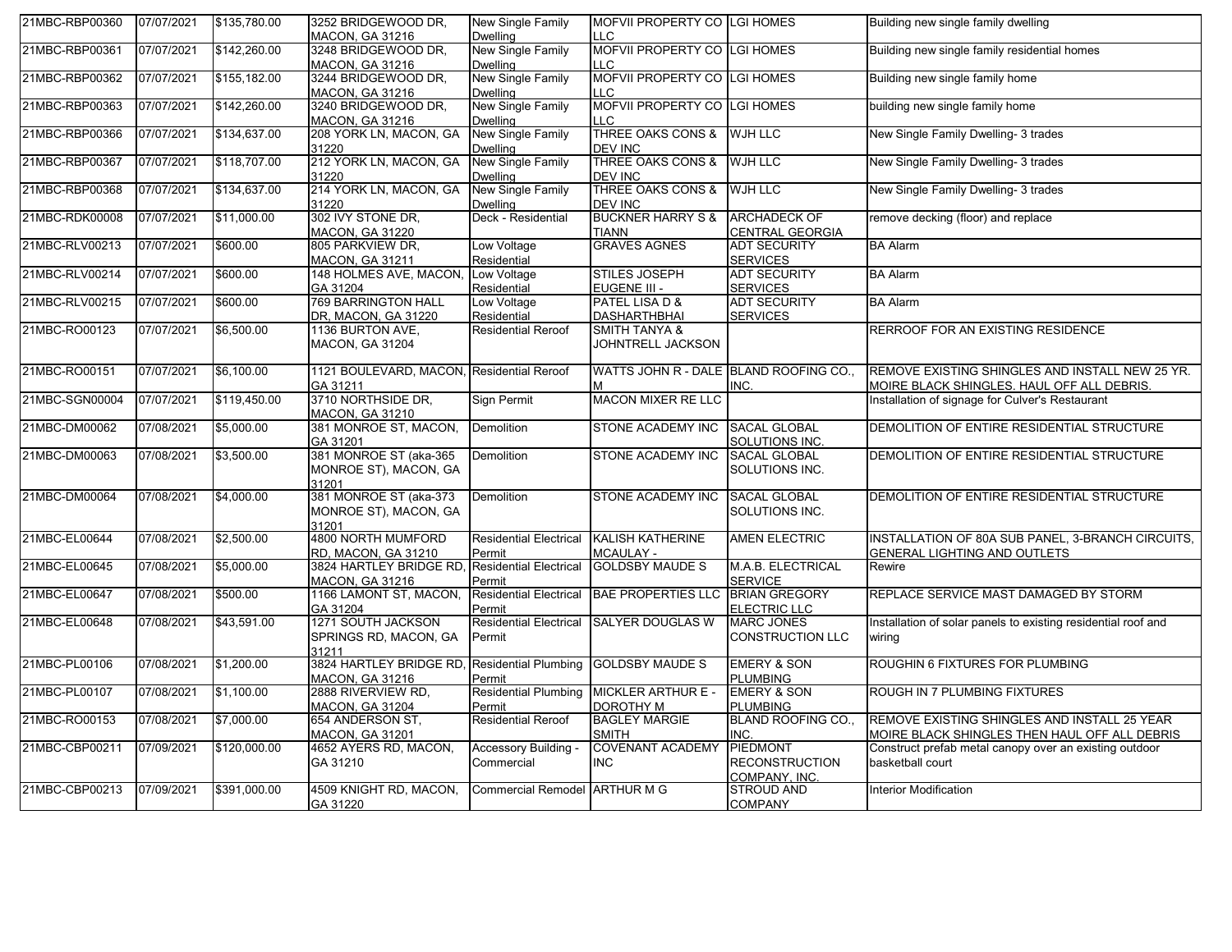| 21MBC-RBP00360 | 07/07/2021 | \$135,780.00 | 3252 BRIDGEWOOD DR,<br>MACON, GA 31216                   | New Single Family<br><b>Dwelling</b>        | MOFVII PROPERTY CO LGI HOMES<br>LLC            |                                                    | Building new single family dwelling                                                           |
|----------------|------------|--------------|----------------------------------------------------------|---------------------------------------------|------------------------------------------------|----------------------------------------------------|-----------------------------------------------------------------------------------------------|
| 21MBC-RBP00361 | 07/07/2021 | \$142,260.00 | 3248 BRIDGEWOOD DR,<br>MACON, GA 31216                   | New Single Family<br><b>Dwelling</b>        | MOFVII PROPERTY CO LGI HOMES<br>LC.            |                                                    | Building new single family residential homes                                                  |
| 21MBC-RBP00362 | 07/07/2021 | \$155,182.00 | 3244 BRIDGEWOOD DR,<br>MACON, GA 31216                   | <b>New Single Family</b><br><b>Dwelling</b> | MOFVII PROPERTY CO LGI HOMES<br>LC             |                                                    | Building new single family home                                                               |
| 21MBC-RBP00363 | 07/07/2021 | \$142,260.00 | 3240 BRIDGEWOOD DR,<br><b>MACON, GA 31216</b>            | New Single Family<br><b>Dwelling</b>        | MOFVII PROPERTY CO LGI HOMES<br>$\overline{C}$ |                                                    | building new single family home                                                               |
| 21MBC-RBP00366 | 07/07/2021 | \$134,637.00 | 208 YORK LN, MACON, GA<br>31220                          | New Single Family<br><b>Dwelling</b>        | <b>THREE OAKS CONS &amp;</b><br><b>DEV INC</b> | <b>WJH LLC</b>                                     | New Single Family Dwelling- 3 trades                                                          |
| 21MBC-RBP00367 | 07/07/2021 | \$118,707.00 | 212 YORK LN, MACON, GA<br>31220                          | New Single Family<br><b>Dwelling</b>        | THREE OAKS CONS &<br>DEV INC                   | <b>WJH LLC</b>                                     | New Single Family Dwelling- 3 trades                                                          |
| 21MBC-RBP00368 | 07/07/2021 | \$134,637.00 | 214 YORK LN, MACON, GA<br>31220                          | New Single Family<br><b>Dwelling</b>        | <b>THREE OAKS CONS &amp;</b><br><b>DEV INC</b> | <b>WJH LLC</b>                                     | New Single Family Dwelling- 3 trades                                                          |
| 21MBC-RDK00008 | 07/07/2021 | \$11,000.00  | 302 IVY STONE DR.<br><b>MACON, GA 31220</b>              | Deck - Residential                          | <b>BUCKNER HARRY S &amp;</b><br><b>TIANN</b>   | <b>ARCHADECK OF</b><br><b>CENTRAL GEORGIA</b>      | remove decking (floor) and replace                                                            |
| 21MBC-RLV00213 | 07/07/2021 | \$600.00     | 805 PARKVIEW DR,<br><b>MACON, GA 31211</b>               | Low Voltage<br>Residential                  | <b>GRAVES AGNES</b>                            | <b>ADT SECURITY</b><br><b>SERVICES</b>             | <b>BA Alarm</b>                                                                               |
| 21MBC-RLV00214 | 07/07/2021 | \$600.00     | 148 HOLMES AVE, MACON,<br>GA 31204                       | Low Voltage<br>Residential                  | STILES JOSEPH<br>EUGENE III -                  | <b>ADT SECURITY</b><br><b>SERVICES</b>             | <b>BA Alarm</b>                                                                               |
| 21MBC-RLV00215 | 07/07/2021 | \$600.00     | <b>769 BARRINGTON HALL</b><br>DR, MACON, GA 31220        | Low Voltage<br>Residential                  | PATEL LISA D &<br><b>DASHARTHBHAI</b>          | <b>ADT SECURITY</b><br><b>SERVICES</b>             | <b>BA Alarm</b>                                                                               |
| 21MBC-RO00123  | 07/07/2021 | \$6,500.00   | 1136 BURTON AVE,<br><b>MACON, GA 31204</b>               | <b>Residential Reroof</b>                   | <b>SMITH TANYA &amp;</b><br>JOHNTRELL JACKSON  |                                                    | RERROOF FOR AN EXISTING RESIDENCE                                                             |
| 21MBC-RO00151  | 07/07/2021 | \$6,100.00   | 1121 BOULEVARD, MACON, Residential Reroof<br>GA 31211    |                                             | WATTS JOHN R - DALE BLAND ROOFING CO.          | INC.                                               | REMOVE EXISTING SHINGLES AND INSTALL NEW 25 YR.<br>MOIRE BLACK SHINGLES. HAUL OFF ALL DEBRIS. |
| 21MBC-SGN00004 | 07/07/2021 | \$119,450.00 | 3710 NORTHSIDE DR.<br>MACON, GA 31210                    | <b>Sign Permit</b>                          | <b>MACON MIXER RE LLC</b>                      |                                                    | Installation of signage for Culver's Restaurant                                               |
| 21MBC-DM00062  | 07/08/2021 | \$5,000.00   | 381 MONROE ST, MACON,<br>GA 31201                        | Demolition                                  | <b>STONE ACADEMY INC</b>                       | SACAL GLOBAL<br>SOLUTIONS INC.                     | DEMOLITION OF ENTIRE RESIDENTIAL STRUCTURE                                                    |
| 21MBC-DM00063  | 07/08/2021 | \$3,500.00   | 381 MONROE ST (aka-365<br>MONROE ST), MACON, GA<br>31201 | Demolition                                  | <b>STONE ACADEMY INC</b>                       | <b>SACAL GLOBAL</b><br>SOLUTIONS INC.              | DEMOLITION OF ENTIRE RESIDENTIAL STRUCTURE                                                    |
| 21MBC-DM00064  | 07/08/2021 | \$4,000.00   | 381 MONROE ST (aka-373<br>MONROE ST), MACON, GA<br>31201 | <b>Demolition</b>                           | <b>STONE ACADEMY INC</b>                       | <b>SACAL GLOBAL</b><br>SOLUTIONS INC.              | DEMOLITION OF ENTIRE RESIDENTIAL STRUCTURE                                                    |
| 21MBC-EL00644  | 07/08/2021 | \$2,500.00   | 4800 NORTH MUMFORD<br>RD, MACON, GA 31210                | <b>Residential Electrical</b><br>Permit     | <b>KALISH KATHERINE</b><br><b>MCAULAY -</b>    | <b>AMEN ELECTRIC</b>                               | INSTALLATION OF 80A SUB PANEL, 3-BRANCH CIRCUITS,<br><b>GENERAL LIGHTING AND OUTLETS</b>      |
| 21MBC-EL00645  | 07/08/2021 | \$5,000.00   | 3824 HARTLEY BRIDGE RD<br><b>MACON, GA 31216</b>         | <b>Residential Electrical</b><br>Permit     | <b>GOLDSBY MAUDE S</b>                         | M.A.B. ELECTRICAL<br><b>SERVICE</b>                | Rewire                                                                                        |
| 21MBC-EL00647  | 07/08/2021 | \$500.00     | 1166 LAMONT ST, MACON,<br>GA 31204                       | <b>Residential Electrical</b><br>Permit     | BAE PROPERTIES LLC BRIAN GREGORY               | ELECTRIC LLC                                       | REPLACE SERVICE MAST DAMAGED BY STORM                                                         |
| 21MBC-EL00648  | 07/08/2021 | \$43,591.00  | 1271 SOUTH JACKSON<br>SPRINGS RD, MACON, GA<br>31211     | <b>Residential Electrical</b><br>Permit     | <b>SALYER DOUGLAS W</b>                        | <b>MARC JONES</b><br>CONSTRUCTION LLC              | Installation of solar panels to existing residential roof and<br>wiring                       |
| 21MBC-PL00106  | 07/08/2021 | \$1,200.00   | 3824 HARTLEY BRIDGE RD<br><b>MACON, GA 31216</b>         | <b>Residential Plumbing</b><br>Permit       | <b>GOLDSBY MAUDE S</b>                         | <b>EMERY &amp; SON</b><br><b>PLUMBING</b>          | ROUGHIN 6 FIXTURES FOR PLUMBING                                                               |
| 21MBC-PL00107  | 07/08/2021 | \$1,100.00   | 2888 RIVERVIEW RD,<br><b>MACON, GA 31204</b>             | <b>Residential Plumbing</b><br>Permit       | <b>MICKLER ARTHUR E -</b><br><b>DOROTHY M</b>  | <b>EMERY &amp; SON</b><br>PLUMBING                 | ROUGH IN 7 PLUMBING FIXTURES                                                                  |
| 21MBC-RO00153  | 07/08/2021 | \$7,000.00   | 654 ANDERSON ST,<br><b>MACON, GA 31201</b>               | <b>Residential Reroof</b>                   | <b>BAGLEY MARGIE</b><br><b>SMITH</b>           | <b>BLAND ROOFING CO</b><br>INC.                    | REMOVE EXISTING SHINGLES AND INSTALL 25 YEAR<br>MOIRE BLACK SHINGLES THEN HAUL OFF ALL DEBRIS |
| 21MBC-CBP00211 | 07/09/2021 | \$120,000.00 | 4652 AYERS RD, MACON,<br>GA 31210                        | Accessory Building -<br>Commercial          | <b>COVENANT ACADEMY</b><br><b>INC</b>          | PIEDMONT<br><b>RECONSTRUCTION</b><br>COMPANY, INC. | Construct prefab metal canopy over an existing outdoor<br>basketball court                    |
| 21MBC-CBP00213 | 07/09/2021 | \$391,000.00 | 4509 KNIGHT RD, MACON,<br>GA 31220                       | Commercial Remodel ARTHUR M G               |                                                | STROUD AND<br><b>COMPANY</b>                       | <b>Interior Modification</b>                                                                  |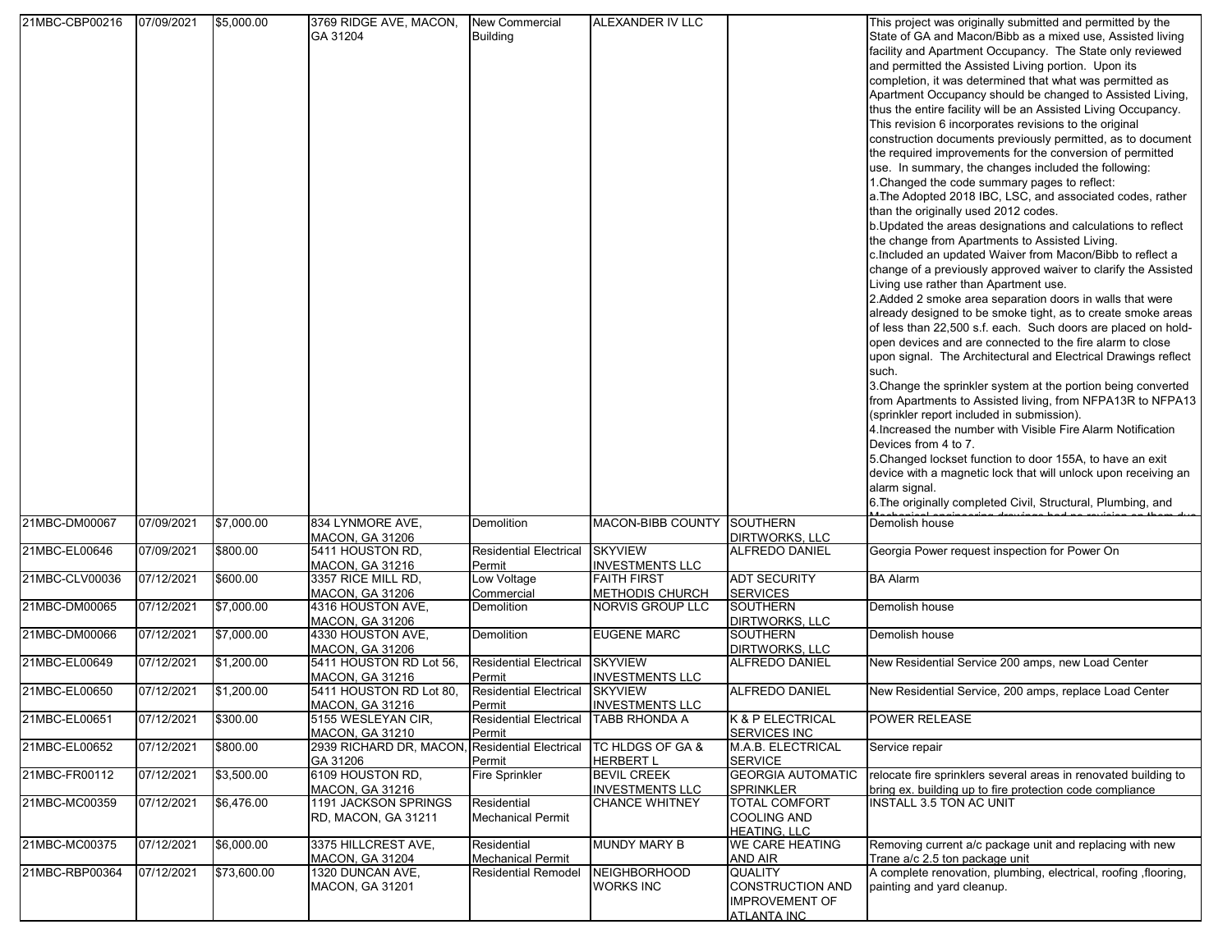| 21MBC-CBP00216 | 07/09/2021 | \$5,000.00  | 3769 RIDGE AVE, MACON,                            | <b>New Commercial</b>                   | ALEXANDER IV LLC        |                                         | This project was originally submitted and permitted by the      |
|----------------|------------|-------------|---------------------------------------------------|-----------------------------------------|-------------------------|-----------------------------------------|-----------------------------------------------------------------|
|                |            |             | GA 31204                                          | <b>Building</b>                         |                         |                                         | State of GA and Macon/Bibb as a mixed use, Assisted living      |
|                |            |             |                                                   |                                         |                         |                                         | facility and Apartment Occupancy. The State only reviewed       |
|                |            |             |                                                   |                                         |                         |                                         | and permitted the Assisted Living portion. Upon its             |
|                |            |             |                                                   |                                         |                         |                                         | completion, it was determined that what was permitted as        |
|                |            |             |                                                   |                                         |                         |                                         | Apartment Occupancy should be changed to Assisted Living,       |
|                |            |             |                                                   |                                         |                         |                                         | thus the entire facility will be an Assisted Living Occupancy.  |
|                |            |             |                                                   |                                         |                         |                                         | This revision 6 incorporates revisions to the original          |
|                |            |             |                                                   |                                         |                         |                                         | construction documents previously permitted, as to document     |
|                |            |             |                                                   |                                         |                         |                                         | the required improvements for the conversion of permitted       |
|                |            |             |                                                   |                                         |                         |                                         | use. In summary, the changes included the following:            |
|                |            |             |                                                   |                                         |                         |                                         | 1. Changed the code summary pages to reflect:                   |
|                |            |             |                                                   |                                         |                         |                                         | a. The Adopted 2018 IBC, LSC, and associated codes, rather      |
|                |            |             |                                                   |                                         |                         |                                         | than the originally used 2012 codes.                            |
|                |            |             |                                                   |                                         |                         |                                         | b. Updated the areas designations and calculations to reflect   |
|                |            |             |                                                   |                                         |                         |                                         | the change from Apartments to Assisted Living.                  |
|                |            |             |                                                   |                                         |                         |                                         | c. Included an updated Waiver from Macon/Bibb to reflect a      |
|                |            |             |                                                   |                                         |                         |                                         | change of a previously approved waiver to clarify the Assisted  |
|                |            |             |                                                   |                                         |                         |                                         | Living use rather than Apartment use.                           |
|                |            |             |                                                   |                                         |                         |                                         | 2. Added 2 smoke area separation doors in walls that were       |
|                |            |             |                                                   |                                         |                         |                                         | already designed to be smoke tight, as to create smoke areas    |
|                |            |             |                                                   |                                         |                         |                                         | of less than 22,500 s.f. each. Such doors are placed on hold-   |
|                |            |             |                                                   |                                         |                         |                                         | open devices and are connected to the fire alarm to close       |
|                |            |             |                                                   |                                         |                         |                                         | upon signal. The Architectural and Electrical Drawings reflect  |
|                |            |             |                                                   |                                         |                         |                                         | such.                                                           |
|                |            |             |                                                   |                                         |                         |                                         | 3. Change the sprinkler system at the portion being converted   |
|                |            |             |                                                   |                                         |                         |                                         | from Apartments to Assisted living, from NFPA13R to NFPA13      |
|                |            |             |                                                   |                                         |                         |                                         | (sprinkler report included in submission).                      |
|                |            |             |                                                   |                                         |                         |                                         | 4. Increased the number with Visible Fire Alarm Notification    |
|                |            |             |                                                   |                                         |                         |                                         | Devices from 4 to 7.                                            |
|                |            |             |                                                   |                                         |                         |                                         | 5. Changed lockset function to door 155A, to have an exit       |
|                |            |             |                                                   |                                         |                         |                                         | device with a magnetic lock that will unlock upon receiving an  |
|                |            |             |                                                   |                                         |                         |                                         | alarm signal.                                                   |
|                |            |             |                                                   |                                         |                         |                                         | 6. The originally completed Civil, Structural, Plumbing, and    |
| 21MBC-DM00067  | 07/09/2021 | \$7,000.00  | 834 LYNMORE AVE.                                  | <b>Demolition</b>                       | MACON-BIBB COUNTY       | <b>SOUTHERN</b>                         | Demolish house                                                  |
|                |            |             | MACON, GA 31206                                   |                                         |                         | DIRTWORKS, LLC                          |                                                                 |
| 21MBC-EL00646  | 07/09/2021 | \$800.00    | 5411 HOUSTON RD,                                  | <b>Residential Electrical</b>           | <b>SKYVIEW</b>          | <b>ALFREDO DANIEL</b>                   | Georgia Power request inspection for Power On                   |
|                |            |             | <b>MACON, GA 31216</b>                            | Permit                                  | <b>INVESTMENTS LLC</b>  |                                         |                                                                 |
| 21MBC-CLV00036 | 07/12/2021 | \$600.00    | 3357 RICE MILL RD.                                | Low Voltage                             | <b>FAITH FIRST</b>      | <b>ADT SECURITY</b>                     | <b>BA</b> Alarm                                                 |
|                |            |             | <b>MACON, GA 31206</b>                            | Commercial                              | <b>METHODIS CHURCH</b>  | <b>SERVICES</b>                         |                                                                 |
| 21MBC-DM00065  | 07/12/2021 | \$7,000.00  | 4316 HOUSTON AVE,                                 | Demolition                              | <b>NORVIS GROUP LLC</b> | <b>SOUTHERN</b>                         | Demolish house                                                  |
|                |            |             | <b>MACON, GA 31206</b>                            |                                         |                         | DIRTWORKS, LLC                          |                                                                 |
| 21MBC-DM00066  | 07/12/2021 | \$7,000.00  | 4330 HOUSTON AVE.                                 | Demolition                              | <b>EUGENE MARC</b>      | <b>SOUTHERN</b>                         | Demolish house                                                  |
| 21MBC-EL00649  |            |             | <b>MACON. GA 31206</b>                            |                                         | <b>SKYVIEW</b>          | DIRTWORKS, LLC<br><b>ALFREDO DANIEL</b> |                                                                 |
|                | 07/12/2021 | \$1,200.00  | 5411 HOUSTON RD Lot 56,<br><b>MACON, GA 31216</b> | <b>Residential Electrical</b>           | <b>INVESTMENTS LLC</b>  |                                         | New Residential Service 200 amps, new Load Center               |
| 21MBC-EL00650  | 07/12/2021 | \$1,200.00  | 5411 HOUSTON RD Lot 80.                           | Permit<br><b>Residential Electrical</b> | <b>SKYVIEW</b>          | ALFREDO DANIEL                          | New Residential Service, 200 amps, replace Load Center          |
|                |            |             | <b>MACON, GA 31216</b>                            | <u>Permit</u>                           | <b>INVESTMENTS LLC</b>  |                                         |                                                                 |
| 21MBC-EL00651  | 07/12/2021 | \$300.00    | 5155 WESLEYAN CIR,                                | <b>Residential Electrical</b>           | <b>TABB RHONDA A</b>    | K & P ELECTRICAL                        | <b>POWER RELEASE</b>                                            |
|                |            |             | MACON, GA 31210                                   | Permit                                  |                         | <b>SERVICES INC</b>                     |                                                                 |
| 21MBC-EL00652  | 07/12/2021 | \$800.00    | 2939 RICHARD DR, MACON                            | <b>Residential Electrical</b>           | TC HLDGS OF GA &        | M.A.B. ELECTRICAL                       | Service repair                                                  |
|                |            |             | GA 31206                                          | Permit                                  | HERBERT L               | <b>SERVICE</b>                          |                                                                 |
| 21MBC-FR00112  | 07/12/2021 | \$3,500.00  | 6109 HOUSTON RD,                                  | Fire Sprinkler                          | <b>BEVIL CREEK</b>      | <b>GEORGIA AUTOMATIC</b>                | relocate fire sprinklers several areas in renovated building to |
|                |            |             | MACON. GA 31216                                   |                                         | <b>NVESTMENTS LLC</b>   | SPRINKLER                               | bring ex. building up to fire protection code compliance        |
| 21MBC-MC00359  | 07/12/2021 | \$6,476.00  | 1191 JACKSON SPRINGS                              | Residential                             | CHANCE WHITNEY          | TOTAL COMFORT                           | INSTALL 3.5 TON AC UNIT                                         |
|                |            |             | RD, MACON, GA 31211                               | <b>Mechanical Permit</b>                |                         | COOLING AND                             |                                                                 |
|                |            |             |                                                   |                                         |                         | <b>HEATING, LLC</b>                     |                                                                 |
| 21MBC-MC00375  | 07/12/2021 | \$6,000.00  | 3375 HILLCREST AVE,                               | Residential                             | <b>MUNDY MARY B</b>     | <b>WE CARE HEATING</b>                  | Removing current a/c package unit and replacing with new        |
|                |            |             | MACON, GA 31204                                   | Mechanical Permit                       |                         | AND AIR                                 | Trane a/c 2.5 ton package unit                                  |
| 21MBC-RBP00364 | 07/12/2021 | \$73,600.00 | 1320 DUNCAN AVE,                                  | <b>Residential Remodel</b>              | <b>NEIGHBORHOOD</b>     | <b>QUALITY</b>                          | A complete renovation, plumbing, electrical, roofing, flooring, |
|                |            |             | MACON, GA 31201                                   |                                         | <b>WORKS INC</b>        | CONSTRUCTION AND                        | painting and yard cleanup.                                      |
|                |            |             |                                                   |                                         |                         | <b>IMPROVEMENT OF</b>                   |                                                                 |
|                |            |             |                                                   |                                         |                         | <b>ATLANTA INC</b>                      |                                                                 |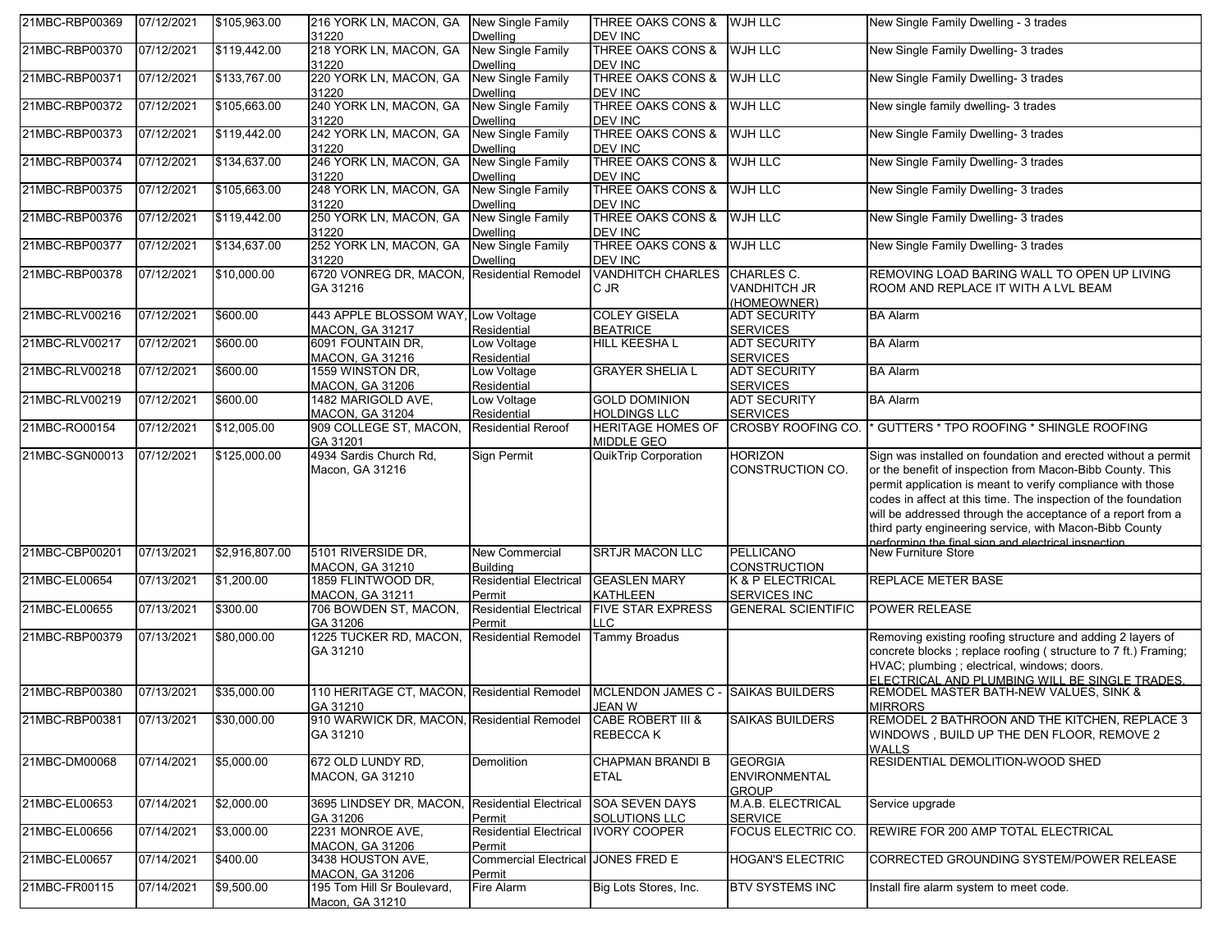| 21MBC-RBP00369 | 07/12/2021 | \$105,963.00   | 216 YORK LN, MACON, GA<br>31220                         | <b>New Single Family</b><br><b>Dwelling</b> | THREE OAKS CONS &<br>DEV INC                 | WJH LLC                                                | New Single Family Dwelling - 3 trades                                                                                                                                                                                                                                                                                                                                                                                                        |
|----------------|------------|----------------|---------------------------------------------------------|---------------------------------------------|----------------------------------------------|--------------------------------------------------------|----------------------------------------------------------------------------------------------------------------------------------------------------------------------------------------------------------------------------------------------------------------------------------------------------------------------------------------------------------------------------------------------------------------------------------------------|
| 21MBC-RBP00370 | 07/12/2021 | \$119,442.00   | 218 YORK LN, MACON, GA<br>31220                         | <b>New Single Family</b><br><b>Dwelling</b> | <b>THREE OAKS CONS &amp;</b><br>DEV INC      | <b>WJH LLC</b>                                         | New Single Family Dwelling- 3 trades                                                                                                                                                                                                                                                                                                                                                                                                         |
| 21MBC-RBP00371 | 07/12/2021 | \$133,767.00   | 220 YORK LN, MACON, GA<br>31220                         | <b>New Single Family</b><br><b>Dwelling</b> | <b>THREE OAKS CONS &amp;</b><br>DEV INC      | <b>WJH LLC</b>                                         | New Single Family Dwelling- 3 trades                                                                                                                                                                                                                                                                                                                                                                                                         |
| 21MBC-RBP00372 | 07/12/2021 | \$105,663.00   | 240 YORK LN, MACON, GA<br>31220                         | New Single Family<br><b>Dwelling</b>        | <b>THREE OAKS CONS &amp;</b><br>DEV INC      | <b>WJH LLC</b>                                         | New single family dwelling- 3 trades                                                                                                                                                                                                                                                                                                                                                                                                         |
| 21MBC-RBP00373 | 07/12/2021 | \$119,442.00   | 242 YORK LN, MACON, GA<br>31220                         | <b>New Single Family</b><br><b>Dwelling</b> | <b>THREE OAKS CONS &amp;</b><br>DEV INC      | <b>WJH LLC</b>                                         | New Single Family Dwelling- 3 trades                                                                                                                                                                                                                                                                                                                                                                                                         |
| 21MBC-RBP00374 | 07/12/2021 | \$134,637.00   | 246 YORK LN, MACON, GA<br>31220                         | New Single Family<br><b>Dwelling</b>        | <b>THREE OAKS CONS &amp;</b><br>DEV INC      | <b>WJH LLC</b>                                         | New Single Family Dwelling- 3 trades                                                                                                                                                                                                                                                                                                                                                                                                         |
| 21MBC-RBP00375 | 07/12/2021 | \$105,663.00   | 248 YORK LN, MACON, GA<br>31220                         | <b>New Single Family</b><br><b>Dwelling</b> | <b>THREE OAKS CONS &amp;</b><br>DEV INC      | <b>WJH LLC</b>                                         | New Single Family Dwelling- 3 trades                                                                                                                                                                                                                                                                                                                                                                                                         |
| 21MBC-RBP00376 | 07/12/2021 | \$119,442.00   | 250 YORK LN, MACON, GA<br>31220                         | New Single Family<br><b>Dwelling</b>        | <b>THREE OAKS CONS &amp;</b><br>DEV INC      | <b>WJH LLC</b>                                         | New Single Family Dwelling- 3 trades                                                                                                                                                                                                                                                                                                                                                                                                         |
| 21MBC-RBP00377 | 07/12/2021 | \$134,637.00   | 252 YORK LN, MACON, GA<br>31220                         | <b>New Single Family</b><br><b>Dwelling</b> | <b>THREE OAKS CONS &amp;</b><br>DEV INC      | <b>WJH LLC</b>                                         | New Single Family Dwelling- 3 trades                                                                                                                                                                                                                                                                                                                                                                                                         |
| 21MBC-RBP00378 | 07/12/2021 | \$10,000.00    | 6720 VONREG DR, MACON, Residential Remodel<br>GA 31216  |                                             | <b>VANDHITCH CHARLES</b><br>C JR             | CHARLES C.<br><b>VANDHITCH JR</b><br>(HOMEOWNER)       | REMOVING LOAD BARING WALL TO OPEN UP LIVING<br>ROOM AND REPLACE IT WITH A LVL BEAM                                                                                                                                                                                                                                                                                                                                                           |
| 21MBC-RLV00216 | 07/12/2021 | \$600.00       | 443 APPLE BLOSSOM WAY, Low Voltage<br>MACON, GA 31217   | Residential                                 | <b>COLEY GISELA</b><br><b>BEATRICE</b>       | ADT SECURITY<br><b>SERVICES</b>                        | <b>BA Alarm</b>                                                                                                                                                                                                                                                                                                                                                                                                                              |
| 21MBC-RLV00217 | 07/12/2021 | \$600.00       | 6091 FOUNTAIN DR.<br>MACON, GA 31216                    | Low Voltage<br>Residential                  | HILL KEESHA L                                | <b>ADT SECURITY</b><br><b>SERVICES</b>                 | <b>BA Alarm</b>                                                                                                                                                                                                                                                                                                                                                                                                                              |
| 21MBC-RLV00218 | 07/12/2021 | \$600.00       | 1559 WINSTON DR,<br>MACON, GA 31206                     | Low Voltage<br>Residential                  | <b>GRAYER SHELIA L</b>                       | <b>ADT SECURITY</b><br><b>SERVICES</b>                 | <b>BA Alarm</b>                                                                                                                                                                                                                                                                                                                                                                                                                              |
| 21MBC-RLV00219 | 07/12/2021 | \$600.00       | 1482 MARIGOLD AVE,<br><b>MACON. GA 31204</b>            | Low Voltage<br>Residential                  | <b>GOLD DOMINION</b><br><b>HOLDINGS LLC</b>  | <b>ADT SECURITY</b><br><b>SERVICES</b>                 | <b>BA Alarm</b>                                                                                                                                                                                                                                                                                                                                                                                                                              |
| 21MBC-RO00154  | 07/12/2021 | \$12,005.00    | 909 COLLEGE ST, MACON,<br>GA 31201                      | <b>Residential Reroof</b>                   | <b>HERITAGE HOMES OF</b><br>MIDDLE GEO       | <b>CROSBY ROOFING CO.</b>                              | * GUTTERS * TPO ROOFING * SHINGLE ROOFING                                                                                                                                                                                                                                                                                                                                                                                                    |
| 21MBC-SGN00013 | 07/12/2021 | \$125,000.00   | 4934 Sardis Church Rd,<br>Macon, GA 31216               | Sign Permit                                 | <b>QuikTrip Corporation</b>                  | <b>HORIZON</b><br>CONSTRUCTION CO.                     | Sign was installed on foundation and erected without a permit<br>or the benefit of inspection from Macon-Bibb County. This<br>permit application is meant to verify compliance with those<br>codes in affect at this time. The inspection of the foundation<br>will be addressed through the acceptance of a report from a<br>third party engineering service, with Macon-Bibb County<br>nerforming the final sign and electrical inspection |
| 21MBC-CBP00201 | 07/13/2021 | \$2,916,807.00 | 5101 RIVERSIDE DR.<br>MACON, GA 31210                   | <b>New Commercial</b><br><b>Building</b>    | <b>SRTJR MACON LLC</b>                       | <b>PELLICANO</b><br><b>CONSTRUCTION</b>                | <b>New Furniture Store</b>                                                                                                                                                                                                                                                                                                                                                                                                                   |
| 21MBC-EL00654  | 07/13/2021 | \$1,200.00     | 1859 FLINTWOOD DR,<br><b>MACON, GA 31211</b>            | <b>Residential Electrical</b><br>Permit     | <b>GEASLEN MARY</b><br><b>KATHLEEN</b>       | <b>K &amp; P ELECTRICAL</b><br>SERVICES INC            | <b>REPLACE METER BASE</b>                                                                                                                                                                                                                                                                                                                                                                                                                    |
| 21MBC-EL00655  | 07/13/2021 | \$300.00       | 706 BOWDEN ST, MACON,<br>GA 31206                       | <b>Residential Electrical</b><br>Permit     | <b>FIVE STAR EXPRESS</b><br>LC.              | <b>GENERAL SCIENTIFIC</b>                              | <b>POWER RELEASE</b>                                                                                                                                                                                                                                                                                                                                                                                                                         |
| 21MBC-RBP00379 | 07/13/2021 | \$80,000.00    | 1225 TUCKER RD, MACON,<br>GA 31210                      | <b>Residential Remodel</b>                  | Tammy Broadus                                |                                                        | Removing existing roofing structure and adding 2 layers of<br>concrete blocks; replace roofing (structure to 7 ft.) Framing;<br>HVAC; plumbing ; electrical, windows; doors.<br>ELECTRICAL AND PLUMBING WILL BE SINGLE TRADES.                                                                                                                                                                                                               |
| 21MBC-RBP00380 | 07/13/2021 | \$35,000.00    | 110 HERITAGE CT, MACON, Residential Remodel<br>GA 31210 |                                             | MCLENDON JAMES C - SAIKAS BUILDERS<br>JEAN W |                                                        | REMODEL MASTER BATH-NEW VALUES, SINK &<br><b>MIRRORS</b>                                                                                                                                                                                                                                                                                                                                                                                     |
| 21MBC-RBP00381 | 07/13/2021 | \$30,000.00    | 910 WARWICK DR, MACON, Residential Remodel<br>GA 31210  |                                             | <b>CABE ROBERT III &amp;</b><br>REBECCA K    | <b>SAIKAS BUILDERS</b>                                 | REMODEL 2 BATHROON AND THE KITCHEN, REPLACE 3<br>WINDOWS, BUILD UP THE DEN FLOOR, REMOVE 2<br><b>WALLS</b>                                                                                                                                                                                                                                                                                                                                   |
| 21MBC-DM00068  | 07/14/2021 | \$5,000.00     | 672 OLD LUNDY RD.<br><b>MACON, GA 31210</b>             | Demolition                                  | <b>CHAPMAN BRANDI B</b><br>ETAL              | <b>GEORGIA</b><br><b>ENVIRONMENTAL</b><br><b>GROUP</b> | RESIDENTIAL DEMOLITION-WOOD SHED                                                                                                                                                                                                                                                                                                                                                                                                             |
| 21MBC-EL00653  | 07/14/2021 | \$2,000.00     | 3695 LINDSEY DR, MACON,<br>GA 31206                     | <b>Residential Electrical</b><br>Permit     | <b>SOA SEVEN DAYS</b><br>SOLUTIONS LLC       | M.A.B. ELECTRICAL<br><b>SERVICE</b>                    | Service upgrade                                                                                                                                                                                                                                                                                                                                                                                                                              |
| 21MBC-EL00656  | 07/14/2021 | \$3,000.00     | 2231 MONROE AVE.<br>MACON, GA 31206                     | <b>Residential Electrical</b><br>Permit     | <b>IVORY COOPER</b>                          | FOCUS ELECTRIC CO.                                     | REWIRE FOR 200 AMP TOTAL ELECTRICAL                                                                                                                                                                                                                                                                                                                                                                                                          |
| 21MBC-EL00657  | 07/14/2021 | \$400.00       | 3438 HOUSTON AVE,<br>MACON, GA 31206                    | <b>Commercial Electrical</b><br>Permit      | JONES FRED E                                 | <b>HOGAN'S ELECTRIC</b>                                | CORRECTED GROUNDING SYSTEM/POWER RELEASE                                                                                                                                                                                                                                                                                                                                                                                                     |
| 21MBC-FR00115  | 07/14/2021 | \$9,500.00     | 195 Tom Hill Sr Boulevard,<br>Macon, GA 31210           | Fire Alarm                                  | Big Lots Stores, Inc.                        | <b>BTV SYSTEMS INC</b>                                 | Install fire alarm system to meet code.                                                                                                                                                                                                                                                                                                                                                                                                      |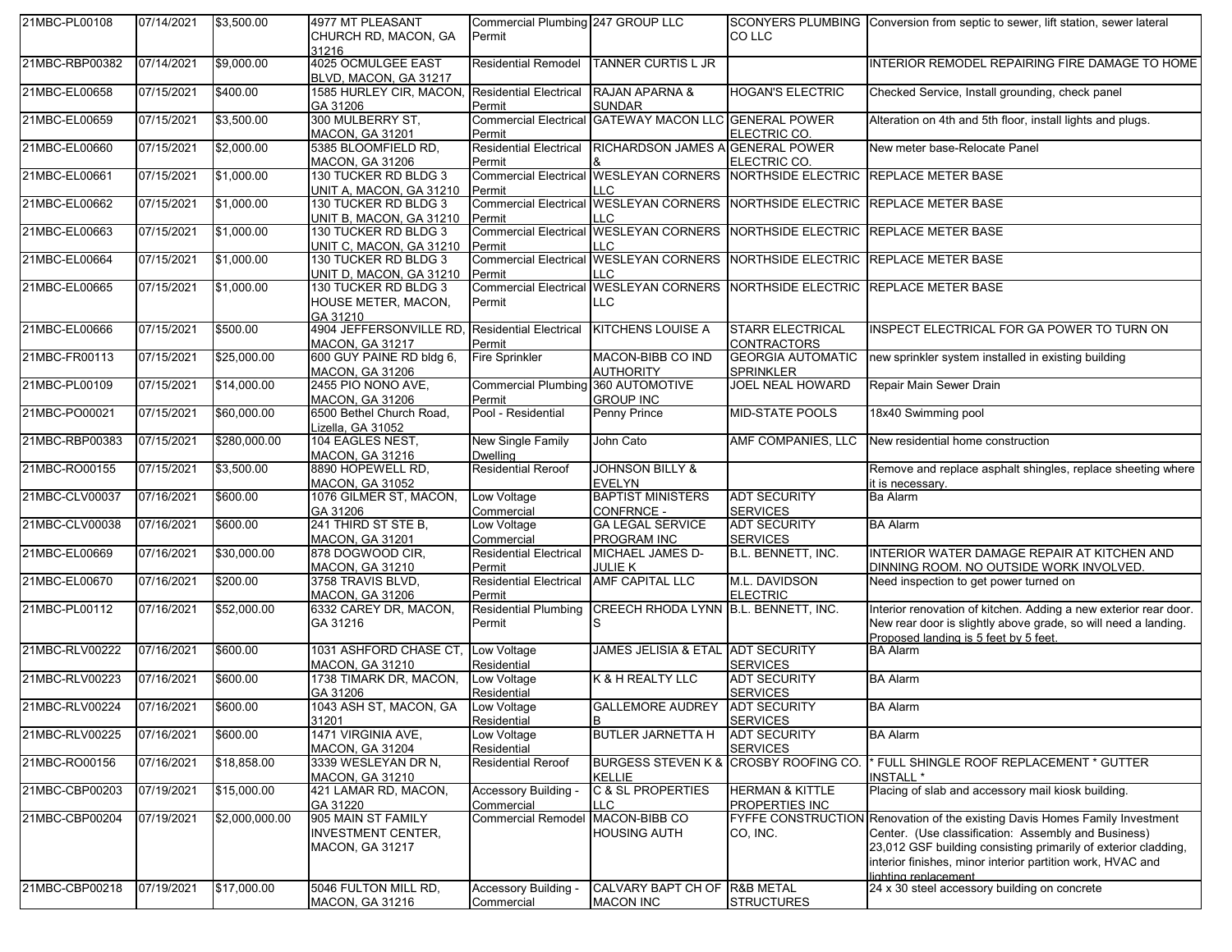| 21MBC-PL00108  | 07/14/2021 | \$3,500.00                    | 4977 MT PLEASANT                                                                                | Commercial Plumbing 247 GROUP LLC               |                                                                      |                                               | SCONYERS PLUMBING Conversion from septic to sewer, lift station, sewer lateral                                                                                                                                                                                                                                                             |
|----------------|------------|-------------------------------|-------------------------------------------------------------------------------------------------|-------------------------------------------------|----------------------------------------------------------------------|-----------------------------------------------|--------------------------------------------------------------------------------------------------------------------------------------------------------------------------------------------------------------------------------------------------------------------------------------------------------------------------------------------|
|                |            |                               | CHURCH RD, MACON, GA<br>31216                                                                   | Permit                                          |                                                                      | CO LLC                                        |                                                                                                                                                                                                                                                                                                                                            |
| 21MBC-RBP00382 | 07/14/2021 | \$9,000.00                    | 4025 OCMULGEE EAST<br>BLVD, MACON, GA 31217                                                     | Residential Remodel                             | <b>TANNER CURTIS L JR</b>                                            |                                               | INTERIOR REMODEL REPAIRING FIRE DAMAGE TO HOME                                                                                                                                                                                                                                                                                             |
| 21MBC-EL00658  | 07/15/2021 | \$400.00                      | 1585 HURLEY CIR, MACON,<br>GA 31206                                                             | <b>Residential Electrical</b><br>Permit         | RAJAN APARNA &<br><b>SUNDAR</b>                                      | <b>HOGAN'S ELECTRIC</b>                       | Checked Service, Install grounding, check panel                                                                                                                                                                                                                                                                                            |
| 21MBC-EL00659  | 07/15/2021 | \$3,500.00                    | 300 MULBERRY ST,<br><b>MACON, GA 31201</b>                                                      | Permit                                          | Commercial Electrical GATEWAY MACON LLC GENERAL POWER                | ELECTRIC CO.                                  | Alteration on 4th and 5th floor, install lights and plugs.                                                                                                                                                                                                                                                                                 |
| 21MBC-EL00660  | 07/15/2021 | \$2,000.00                    | 5385 BLOOMFIELD RD,<br><b>MACON, GA 31206</b>                                                   | <b>Residential Electrical</b><br>Permit         | RICHARDSON JAMES A GENERAL POWER                                     | ELECTRIC CO.                                  | New meter base-Relocate Panel                                                                                                                                                                                                                                                                                                              |
| 21MBC-EL00661  | 07/15/2021 | \$1,000.00                    | 130 TUCKER RD BLDG 3<br>UNIT A, MACON, GA 31210                                                 | Permit                                          | <b>Commercial Electrical WESLEYAN CORNERS</b><br>LLC                 |                                               | NORTHSIDE ELECTRIC REPLACE METER BASE                                                                                                                                                                                                                                                                                                      |
| 21MBC-EL00662  | 07/15/2021 | \$1,000.00                    | 130 TUCKER RD BLDG 3<br>UNIT B, MACON, GA 31210                                                 | Permit                                          | LLC                                                                  |                                               | Commercial Electrical WESLEYAN CORNERS NORTHSIDE ELECTRIC REPLACE METER BASE                                                                                                                                                                                                                                                               |
| 21MBC-EL00663  | 07/15/2021 | \$1,000.00                    | 130 TUCKER RD BLDG 3<br>UNIT C, MACON, GA 31210                                                 | Permit                                          | LLC                                                                  |                                               | Commercial Electrical WESLEYAN CORNERS NORTHSIDE ELECTRIC REPLACE METER BASE                                                                                                                                                                                                                                                               |
| 21MBC-EL00664  | 07/15/2021 | \$1,000.00                    | 130 TUCKER RD BLDG 3<br>UNIT D, MACON, GA 31210                                                 | Permit                                          | LLC                                                                  |                                               | Commercial Electrical WESLEYAN CORNERS NORTHSIDE ELECTRIC REPLACE METER BASE                                                                                                                                                                                                                                                               |
| 21MBC-EL00665  | 07/15/2021 | \$1,000.00                    | 130 TUCKER RD BLDG 3<br>HOUSE METER, MACON,<br>GA 31210                                         | Permit                                          | LLC                                                                  |                                               | Commercial Electrical WESLEYAN CORNERS NORTHSIDE ELECTRIC REPLACE METER BASE                                                                                                                                                                                                                                                               |
| 21MBC-EL00666  | 07/15/2021 | \$500.00                      | 4904 JEFFERSONVILLE RD.<br><b>MACON, GA 31217</b>                                               | <b>Residential Electrical</b><br>Permit         | <b>KITCHENS LOUISE A</b>                                             | <b>STARR ELECTRICAL</b><br><b>CONTRACTORS</b> | INSPECT ELECTRICAL FOR GA POWER TO TURN ON                                                                                                                                                                                                                                                                                                 |
| 21MBC-FR00113  | 07/15/2021 | \$25,000.00                   | 600 GUY PAINE RD bldg 6,<br><b>MACON, GA 31206</b>                                              | <b>Fire Sprinkler</b>                           | MACON-BIBB CO IND<br><b>AUTHORITY</b>                                | <b>GEORGIA AUTOMATIC</b><br><b>SPRINKLER</b>  | new sprinkler system installed in existing building                                                                                                                                                                                                                                                                                        |
| 21MBC-PL00109  | 07/15/2021 | \$14,000.00                   | 2455 PIO NONO AVE,<br><b>MACON, GA 31206</b>                                                    | <b>Commercial Plumbing</b><br>Permit            | 360 AUTOMOTIVE<br><b>GROUP INC</b>                                   | JOEL NEAL HOWARD                              | Repair Main Sewer Drain                                                                                                                                                                                                                                                                                                                    |
| 21MBC-PO00021  | 07/15/2021 | \$60,000.00                   | 6500 Bethel Church Road,<br>Lizella, GA 31052                                                   | Pool - Residential                              | Penny Prince                                                         | <b>MID-STATE POOLS</b>                        | 18x40 Swimming pool                                                                                                                                                                                                                                                                                                                        |
| 21MBC-RBP00383 | 07/15/2021 | \$280,000.00                  | 104 EAGLES NEST,<br><b>MACON, GA 31216</b>                                                      | New Single Family<br>Dwelling                   | John Cato                                                            | AMF COMPANIES, LLC                            | New residential home construction                                                                                                                                                                                                                                                                                                          |
| 21MBC-RO00155  | 07/15/2021 | \$3,500.00                    | 8890 HOPEWELL RD,<br><b>MACON, GA 31052</b>                                                     | <b>Residential Reroof</b>                       | <b>JOHNSON BILLY &amp;</b><br><b>EVELYN</b>                          |                                               | Remove and replace asphalt shingles, replace sheeting where<br>it is necessary.                                                                                                                                                                                                                                                            |
| 21MBC-CLV00037 | 07/16/2021 | \$600.00                      | 1076 GILMER ST, MACON,<br>GA 31206                                                              | Low Voltage<br>Commercial                       | <b>BAPTIST MINISTERS</b><br>CONFRNCE -                               | <b>ADT SECURITY</b><br><b>SERVICES</b>        | <b>Ba Alarm</b>                                                                                                                                                                                                                                                                                                                            |
| 21MBC-CLV00038 | 07/16/2021 | \$600.00                      | 241 THIRD ST STE B,<br><b>MACON, GA 31201</b>                                                   | Low Voltage<br>Commercial                       | <b>GA LEGAL SERVICE</b><br><b>PROGRAM INC</b>                        | <b>ADT SECURITY</b><br><b>SERVICES</b>        | <b>BA Alarm</b>                                                                                                                                                                                                                                                                                                                            |
| 21MBC-EL00669  | 07/16/2021 | \$30,000.00                   | 878 DOGWOOD CIR,<br><b>MACON, GA 31210</b>                                                      | <b>Residential Electrical</b><br>Permit         | MICHAEL JAMES D-<br><b>JULIE K</b>                                   | B.L. BENNETT, INC.                            | INTERIOR WATER DAMAGE REPAIR AT KITCHEN AND<br>DINNING ROOM. NO OUTSIDE WORK INVOLVED.                                                                                                                                                                                                                                                     |
|                |            |                               |                                                                                                 |                                                 |                                                                      |                                               |                                                                                                                                                                                                                                                                                                                                            |
| 21MBC-EL00670  | 07/16/2021 | \$200.00                      | 3758 TRAVIS BLVD,                                                                               | <b>Residential Electrical</b>                   | AMF CAPITAL LLC                                                      | M.L. DAVIDSON                                 | Need inspection to get power turned on                                                                                                                                                                                                                                                                                                     |
| 21MBC-PL00112  | 07/16/2021 | \$52,000.00                   | MACON, GA 31206<br>6332 CAREY DR, MACON,<br>GA 31216                                            | Permit<br><b>Residential Plumbing</b><br>Permit | CREECH RHODA LYNN B.L. BENNETT, INC.<br>S                            | <b>ELECTRIC</b>                               | Interior renovation of kitchen. Adding a new exterior rear door.<br>New rear door is slightly above grade, so will need a landing.                                                                                                                                                                                                         |
| 21MBC-RLV00222 | 07/16/2021 | \$600.00                      | 1031 ASHFORD CHASE CT,                                                                          | Low Voltage                                     | JAMES JELISIA & ETAL ADT SECURITY                                    |                                               | Proposed landing is 5 feet by 5 feet.<br><b>BA Alarm</b>                                                                                                                                                                                                                                                                                   |
| 21MBC-RLV00223 | 07/16/2021 | \$600.00                      | MACON, GA 31210<br>1738 TIMARK DR, MACON,                                                       | Residential<br>Low Voltage                      | K & H REALTY LLC                                                     | <b>SERVICES</b><br><b>ADT SECURITY</b>        | <b>BA Alarm</b>                                                                                                                                                                                                                                                                                                                            |
| 21MBC-RLV00224 | 07/16/2021 | \$600.00                      | GA 31206<br>1043 ASH ST, MACON, GA                                                              | Residential<br>Low Voltage                      | GALLEMORE AUDREY ADT SECURITY                                        | <b>SERVICES</b>                               | <b>BA Alarm</b>                                                                                                                                                                                                                                                                                                                            |
| 21MBC-RLV00225 | 07/16/2021 | \$600.00                      | 31201<br>1471 VIRGINIA AVE,                                                                     | Residential<br>Low Voltage                      | B<br><b>BUTLER JARNETTA H</b>                                        | <b>SERVICES</b><br><b>ADT SECURITY</b>        | <b>BA Alarm</b>                                                                                                                                                                                                                                                                                                                            |
| 21MBC-RO00156  | 07/16/2021 | \$18,858.00                   | MACON, GA 31204<br>3339 WESLEYAN DR N,                                                          | Residential<br><b>Residential Reroof</b>        | <b>BURGESS STEVEN K &amp;</b>                                        | <b>SERVICES</b>                               | CROSBY ROOFING CO.  * FULL SHINGLE ROOF REPLACEMENT * GUTTER                                                                                                                                                                                                                                                                               |
| 21MBC-CBP00203 | 07/19/2021 | \$15,000.00                   | MACON, GA 31210<br>421 LAMAR RD, MACON,                                                         | Accessory Building -                            | <b>KELLIE</b><br><b>C &amp; SL PROPERTIES</b><br>LLC.                | <b>HERMAN &amp; KITTLE</b>                    | <b>INSTALL*</b><br>Placing of slab and accessory mail kiosk building.                                                                                                                                                                                                                                                                      |
| 21MBC-CBP00204 | 07/19/2021 | \$2,000,000.00<br>\$17,000.00 | GA 31220<br>905 MAIN ST FAMILY<br>INVESTMENT CENTER,<br>MACON, GA 31217<br>5046 FULTON MILL RD, | Commercial<br><b>Commercial Remodel</b>         | MACON-BIBB CO<br><b>HOUSING AUTH</b><br>CALVARY BAPT CH OF R&B METAL | PROPERTIES INC<br>CO, INC.                    | FYFFE CONSTRUCTION Renovation of the existing Davis Homes Family Investment<br>Center. (Use classification: Assembly and Business)<br>23,012 GSF building consisting primarily of exterior cladding,<br>interior finishes, minor interior partition work, HVAC and<br>lighting replacement<br>24 x 30 steel accessory building on concrete |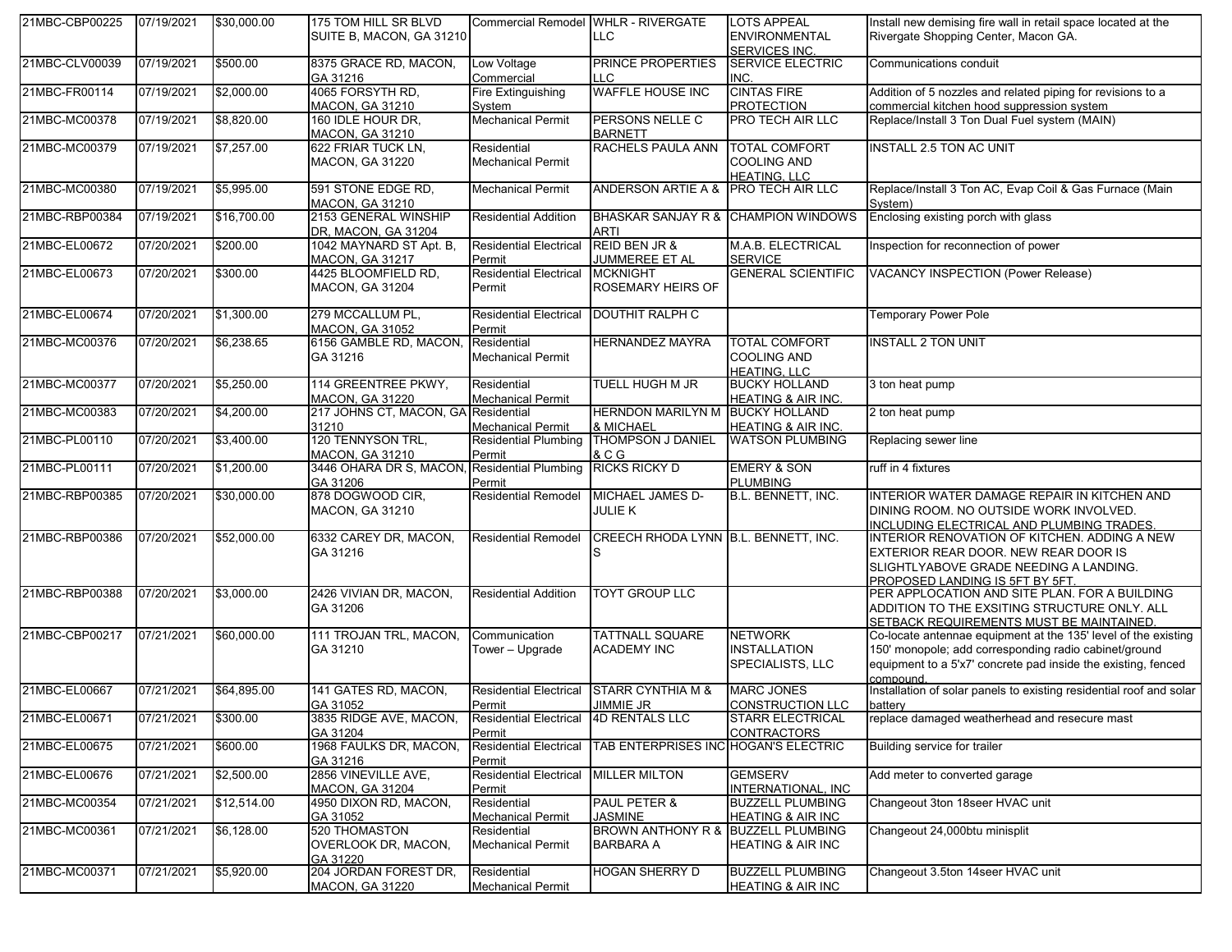| 21MBC-CBP00225 | 07/19/2021 | \$30,000.00 | 175 TOM HILL SR BLVD<br>SUITE B, MACON, GA 31210  |                                         | Commercial Remodel WHLR - RIVERGATE<br>LLC.         | <b>LOTS APPEAL</b><br><b>ENVIRONMENTAL</b>                        | Install new demising fire wall in retail space located at the<br>Rivergate Shopping Center, Macon GA.                                                                                                |
|----------------|------------|-------------|---------------------------------------------------|-----------------------------------------|-----------------------------------------------------|-------------------------------------------------------------------|------------------------------------------------------------------------------------------------------------------------------------------------------------------------------------------------------|
| 21MBC-CLV00039 | 07/19/2021 | \$500.00    | 8375 GRACE RD, MACON,                             | Low Voltage                             | PRINCE PROPERTIES                                   | <b>SERVICES INC.</b><br><b>SERVICE ELECTRIC</b>                   | Communications conduit                                                                                                                                                                               |
|                |            |             | GA 31216                                          | Commercial                              | LC.                                                 | INC.                                                              |                                                                                                                                                                                                      |
| 21MBC-FR00114  | 07/19/2021 | \$2,000.00  | 4065 FORSYTH RD,<br><b>MACON, GA 31210</b>        | Fire Extinguishing<br>Svstem            | <b>WAFFLE HOUSE INC</b>                             | <b>CINTAS FIRE</b><br><b>PROTECTION</b>                           | Addition of 5 nozzles and related piping for revisions to a<br>commercial kitchen hood suppression system                                                                                            |
| 21MBC-MC00378  | 07/19/2021 | \$8,820.00  | 160 IDLE HOUR DR,<br><b>MACON, GA 31210</b>       | <b>Mechanical Permit</b>                | PERSONS NELLE C<br><b>BARNETT</b>                   | PRO TECH AIR LLC                                                  | Replace/Install 3 Ton Dual Fuel system (MAIN)                                                                                                                                                        |
| 21MBC-MC00379  | 07/19/2021 | \$7,257.00  | 622 FRIAR TUCK LN,<br><b>MACON, GA 31220</b>      | Residential<br><b>Mechanical Permit</b> | RACHELS PAULA ANN                                   | <b>TOTAL COMFORT</b><br><b>COOLING AND</b><br><b>HEATING, LLC</b> | <b>INSTALL 2.5 TON AC UNIT</b>                                                                                                                                                                       |
| 21MBC-MC00380  | 07/19/2021 | \$5,995.00  | 591 STONE EDGE RD,<br><b>MACON, GA 31210</b>      | <b>Mechanical Permit</b>                | <b>ANDERSON ARTIE A &amp;</b>                       | <b>PRO TECH AIR LLC</b>                                           | Replace/Install 3 Ton AC, Evap Coil & Gas Furnace (Main<br>System)                                                                                                                                   |
| 21MBC-RBP00384 | 07/19/2021 | \$16,700.00 | 2153 GENERAL WINSHIP<br>DR, MACON, GA 31204       | <b>Residential Addition</b>             | ARTI                                                | BHASKAR SANJAY R & CHAMPION WINDOWS                               | Enclosing existing porch with glass                                                                                                                                                                  |
| 21MBC-EL00672  | 07/20/2021 | \$200.00    | 1042 MAYNARD ST Apt. B,<br><b>MACON, GA 31217</b> | <b>Residential Electrical</b><br>Permit | <b>REID BEN JR &amp;</b><br>JUMMEREE ET AL          | M.A.B. ELECTRICAL<br><b>SERVICE</b>                               | Inspection for reconnection of power                                                                                                                                                                 |
| 21MBC-EL00673  | 07/20/2021 | \$300.00    | 4425 BLOOMFIELD RD,<br><b>MACON, GA 31204</b>     | <b>Residential Electrical</b><br>Permit | MCKNIGHT<br><b>ROSEMARY HEIRS OF</b>                | <b>GENERAL SCIENTIFIC</b>                                         | <b>VACANCY INSPECTION (Power Release)</b>                                                                                                                                                            |
| 21MBC-EL00674  | 07/20/2021 | \$1,300.00  | 279 MCCALLUM PL,<br><b>MACON, GA 31052</b>        | <b>Residential Electrical</b><br>Permit | <b>DOUTHIT RALPH C</b>                              |                                                                   | <b>Temporary Power Pole</b>                                                                                                                                                                          |
| 21MBC-MC00376  | 07/20/2021 | \$6,238.65  | 6156 GAMBLE RD, MACON,<br>GA 31216                | Residential<br><b>Mechanical Permit</b> | <b>HERNANDEZ MAYRA</b>                              | <b>TOTAL COMFORT</b><br><b>COOLING AND</b><br><b>HEATING, LLC</b> | <b>INSTALL 2 TON UNIT</b>                                                                                                                                                                            |
| 21MBC-MC00377  | 07/20/2021 | \$5,250.00  | 114 GREENTREE PKWY.<br><b>MACON, GA 31220</b>     | Residential<br><b>Mechanical Permit</b> | TUELL HUGH M JR                                     | <b>BUCKY HOLLAND</b><br>HEATING & AIR INC.                        | 3 ton heat pump                                                                                                                                                                                      |
| 21MBC-MC00383  | 07/20/2021 | \$4,200.00  | 217 JOHNS CT, MACON, GA Residential<br>31210      | <b>Mechanical Permit</b>                | <b>HERNDON MARILYN M BUCKY HOLLAND</b><br>& MICHAEL | <b>HEATING &amp; AIR INC.</b>                                     | 2 ton heat pump                                                                                                                                                                                      |
| 21MBC-PL00110  | 07/20/2021 | \$3,400.00  | 120 TENNYSON TRL,<br><b>MACON, GA 31210</b>       | <b>Residential Plumbing</b><br>Permit   | <b>THOMPSON J DANIEL</b><br>& C G                   | <b>WATSON PLUMBING</b>                                            | Replacing sewer line                                                                                                                                                                                 |
| 21MBC-PL00111  | 07/20/2021 | \$1,200.00  | 3446 OHARA DR S, MACON<br>GA 31206                | <b>Residential Plumbing</b><br>Permit   | <b>RICKS RICKY D</b>                                | <b>EMERY &amp; SON</b><br><b>PLUMBING</b>                         | ruff in 4 fixtures                                                                                                                                                                                   |
| 21MBC-RBP00385 | 07/20/2021 | \$30,000.00 | 878 DOGWOOD CIR,<br><b>MACON, GA 31210</b>        | <b>Residential Remodel</b>              | MICHAEL JAMES D-<br>JULIE K                         | B.L. BENNETT, INC.                                                | INTERIOR WATER DAMAGE REPAIR IN KITCHEN AND<br>DINING ROOM. NO OUTSIDE WORK INVOLVED.<br>INCLUDING ELECTRICAL AND PLUMBING TRADES.                                                                   |
| 21MBC-RBP00386 | 07/20/2021 | \$52,000.00 | 6332 CAREY DR, MACON,<br>GA 31216                 | <b>Residential Remodel</b>              | CREECH RHODA LYNN B.L. BENNETT, INC.                |                                                                   | INTERIOR RENOVATION OF KITCHEN. ADDING A NEW<br>EXTERIOR REAR DOOR. NEW REAR DOOR IS<br>SLIGHTLYABOVE GRADE NEEDING A LANDING.<br>PROPOSED LANDING IS 5FT BY 5FT.                                    |
| 21MBC-RBP00388 | 07/20/2021 | \$3,000.00  | 2426 VIVIAN DR, MACON,<br>GA 31206                | <b>Residential Addition</b>             | <b>TOYT GROUP LLC</b>                               |                                                                   | PER APPLOCATION AND SITE PLAN. FOR A BUILDING<br>ADDITION TO THE EXSITING STRUCTURE ONLY. ALL<br>SETBACK REQUIREMENTS MUST BE MAINTAINED.                                                            |
| 21MBC-CBP00217 | 07/21/2021 | \$60,000.00 | 111 TROJAN TRL, MACON,<br>GA 31210                | Communication<br>Tower - Upgrade        | <b>TATTNALL SQUARE</b><br><b>ACADEMY INC</b>        | <b>NETWORK</b><br><b>INSTALLATION</b><br>SPECIALISTS, LLC         | Co-locate antennae equipment at the 135' level of the existing<br>150' monopole; add corresponding radio cabinet/ground<br>equipment to a 5'x7' concrete pad inside the existing, fenced<br>compound |
| 21MBC-EL00667  | 07/21/2021 | \$64,895.00 | 141 GATES RD, MACON,<br>GA 31052                  | <b>Residential Electrical</b><br>Permit | <b>STARR CYNTHIA M &amp;</b><br><b>JIMMIE JR</b>    | <b>MARC JONES</b><br><b>CONSTRUCTION LLC</b>                      | Installation of solar panels to existing residential roof and solar<br>battery                                                                                                                       |
| 21MBC-EL00671  | 07/21/2021 | \$300.00    | 3835 RIDGE AVE, MACON,<br>GA 31204                | <b>Residential Electrical</b><br>Permit | <b>4D RENTALS LLC</b>                               | <b>STARR ELECTRICAL</b><br><b>CONTRACTORS</b>                     | replace damaged weatherhead and resecure mast                                                                                                                                                        |
| 21MBC-EL00675  | 07/21/2021 | \$600.00    | 1968 FAULKS DR, MACON,<br>GA 31216                | <b>Residential Electrical</b><br>Permit | TAB ENTERPRISES INC HOGAN'S ELECTRIC                |                                                                   | Building service for trailer                                                                                                                                                                         |
| 21MBC-EL00676  | 07/21/2021 | \$2,500.00  | 2856 VINEVILLE AVE,<br><b>MACON, GA 31204</b>     | <b>Residential Electrical</b><br>Permit | <b>MILLER MILTON</b>                                | <b>GEMSERV</b><br>INTERNATIONAL, INC                              | Add meter to converted garage                                                                                                                                                                        |
| 21MBC-MC00354  | 07/21/2021 | \$12,514.00 | 4950 DIXON RD, MACON,<br>GA 31052                 | Residential<br><b>Mechanical Permit</b> | PAUL PETER &<br><b>JASMINE</b>                      | <b>BUZZELL PLUMBING</b><br><b>HEATING &amp; AIR INC</b>           | Changeout 3ton 18seer HVAC unit                                                                                                                                                                      |
| 21MBC-MC00361  | 07/21/2021 | \$6,128.00  | 520 THOMASTON<br>OVERLOOK DR, MACON,<br>GA 31220  | Residential<br><b>Mechanical Permit</b> | <b>BROWN ANTHONY R &amp;</b><br>BARBARA A           | <b>BUZZELL PLUMBING</b><br><b>HEATING &amp; AIR INC</b>           | Changeout 24,000btu minisplit                                                                                                                                                                        |
| 21MBC-MC00371  | 07/21/2021 | \$5,920.00  | 204 JORDAN FOREST DR,<br><b>MACON, GA 31220</b>   | Residential<br><b>Mechanical Permit</b> | HOGAN SHERRY D                                      | <b>BUZZELL PLUMBING</b><br><b>HEATING &amp; AIR INC</b>           | Changeout 3.5ton 14seer HVAC unit                                                                                                                                                                    |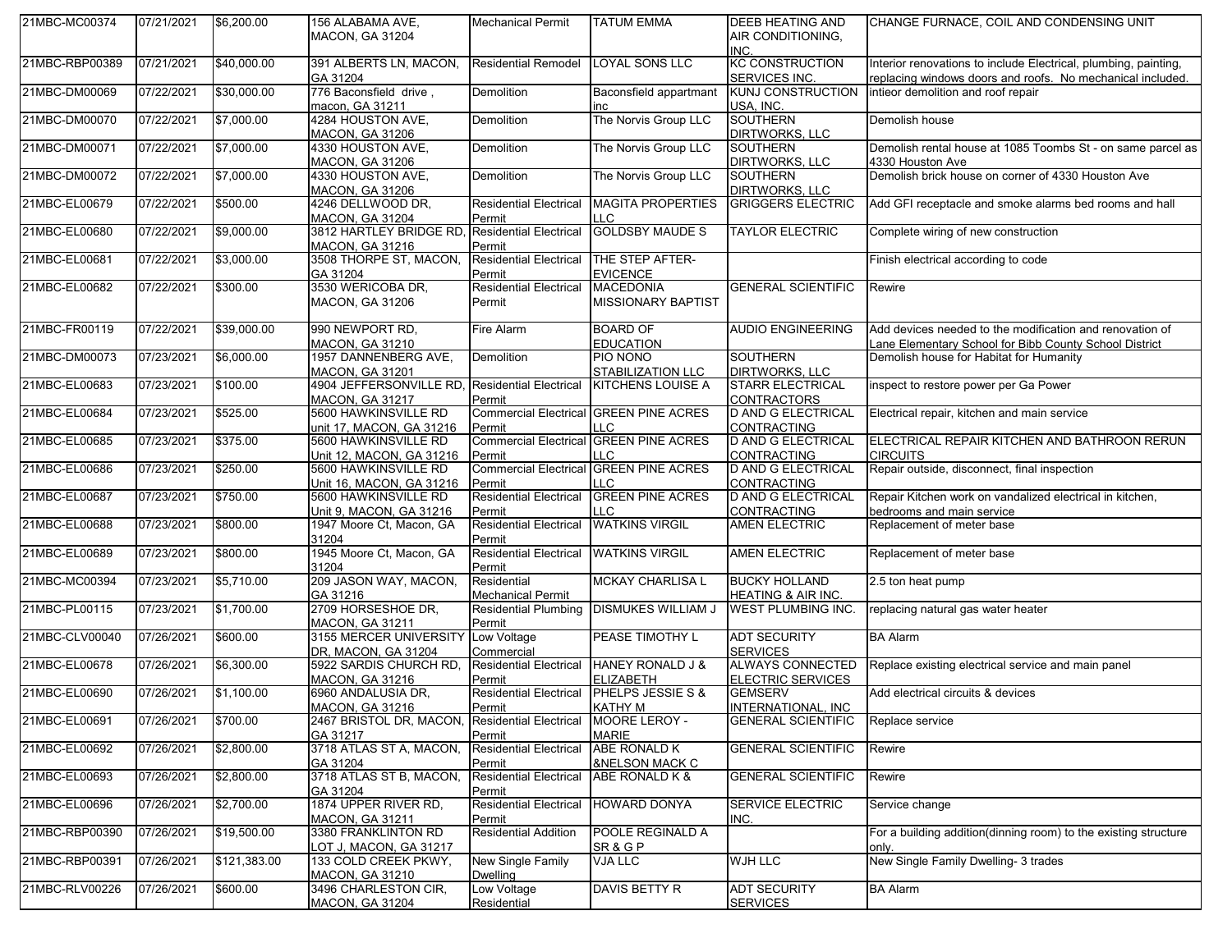| 21MBC-MC00374  | 07/21/2021 | \$6,200.00   | 156 ALABAMA AVE,                                  | <b>Mechanical Permit</b>                       | <b>TATUM EMMA</b>                                    | <b>DEEB HEATING AND</b>                               | CHANGE FURNACE, COIL AND CONDENSING UNIT                                                                                      |
|----------------|------------|--------------|---------------------------------------------------|------------------------------------------------|------------------------------------------------------|-------------------------------------------------------|-------------------------------------------------------------------------------------------------------------------------------|
|                |            |              | <b>MACON, GA 31204</b>                            |                                                |                                                      | AIR CONDITIONING,<br>INC.                             |                                                                                                                               |
| 21MBC-RBP00389 | 07/21/2021 | \$40,000.00  | 391 ALBERTS LN, MACON,<br>GA 31204                | <b>Residential Remodel</b>                     | <b>LOYAL SONS LLC</b>                                | <b>KC CONSTRUCTION</b><br>SERVICES INC.               | Interior renovations to include Electrical, plumbing, painting,<br>replacing windows doors and roofs. No mechanical included. |
| 21MBC-DM00069  | 07/22/2021 | \$30,000.00  | 776 Baconsfield drive,<br>macon, GA 31211         | Demolition                                     | Baconsfield appartmant<br>inc                        | <b>KUNJ CONSTRUCTION</b><br>USA, INC.                 | intieor demolition and roof repair                                                                                            |
| 21MBC-DM00070  | 07/22/2021 | \$7,000.00   | 4284 HOUSTON AVE,<br><b>MACON, GA 31206</b>       | <b>Demolition</b>                              | The Norvis Group LLC                                 | <b>SOUTHERN</b><br><b>DIRTWORKS, LLC</b>              | Demolish house                                                                                                                |
| 21MBC-DM00071  | 07/22/2021 | \$7,000.00   | 4330 HOUSTON AVE,<br><b>MACON, GA 31206</b>       | Demolition                                     | The Norvis Group LLC                                 | <b>SOUTHERN</b><br>DIRTWORKS, LLC                     | Demolish rental house at 1085 Toombs St - on same parcel as<br>4330 Houston Ave                                               |
| 21MBC-DM00072  | 07/22/2021 | \$7,000.00   | 4330 HOUSTON AVE,<br><b>MACON, GA 31206</b>       | <b>Demolition</b>                              | The Norvis Group LLC                                 | <b>SOUTHERN</b><br><b>DIRTWORKS, LLC</b>              | Demolish brick house on corner of 4330 Houston Ave                                                                            |
| 21MBC-EL00679  | 07/22/2021 | \$500.00     | 4246 DELLWOOD DR,<br>MACON, GA 31204              | <b>Residential Electrical</b><br>Permit        | <b>MAGITA PROPERTIES</b><br>LLC.                     | <b>GRIGGERS ELECTRIC</b>                              | Add GFI receptacle and smoke alarms bed rooms and hall                                                                        |
| 21MBC-EL00680  | 07/22/2021 | \$9,000.00   | 3812 HARTLEY BRIDGE RD<br>MACON, GA 31216         | <b>Residential Electrical</b><br>Permit        | <b>GOLDSBY MAUDE S</b>                               | <b>TAYLOR ELECTRIC</b>                                | Complete wiring of new construction                                                                                           |
| 21MBC-EL00681  | 07/22/2021 | \$3,000.00   | 3508 THORPE ST, MACON,<br>GA 31204                | <b>Residential Electrical</b><br>Permit        | THE STEP AFTER-<br><b>EVICENCE</b>                   |                                                       | Finish electrical according to code                                                                                           |
| 21MBC-EL00682  | 07/22/2021 | \$300.00     | 3530 WERICOBA DR,<br>MACON, GA 31206              | <b>Residential Electrical</b><br>Permit        | <b>MACEDONIA</b><br>MISSIONARY BAPTIST               | <b>GENERAL SCIENTIFIC</b>                             | Rewire                                                                                                                        |
| 21MBC-FR00119  | 07/22/2021 | \$39,000.00  | 990 NEWPORT RD,<br><b>MACON, GA 31210</b>         | <b>Fire Alarm</b>                              | <b>BOARD OF</b><br><b>EDUCATION</b>                  | <b>AUDIO ENGINEERING</b>                              | Add devices needed to the modification and renovation of<br>Lane Elementary School for Bibb County School District            |
| 21MBC-DM00073  | 07/23/2021 | \$6,000.00   | 1957 DANNENBERG AVE,<br><b>MACON, GA 31201</b>    | Demolition                                     | PIO NONO<br>STABILIZATION LLC                        | <b>SOUTHERN</b><br>DIRTWORKS, LLC                     | Demolish house for Habitat for Humanity                                                                                       |
| 21MBC-EL00683  | 07/23/2021 | \$100.00     | 4904 JEFFERSONVILLE RD,<br><b>MACON, GA 31217</b> | <b>Residential Electrical</b><br>Permit        | KITCHENS LOUISE A                                    | <b>STARR ELECTRICAL</b><br><b>CONTRACTORS</b>         | inspect to restore power per Ga Power                                                                                         |
| 21MBC-EL00684  | 07/23/2021 | \$525.00     | 5600 HAWKINSVILLE RD<br>unit 17, MACON, GA 31216  | <b>Commercial Electrical</b><br>Permit         | <b>GREEN PINE ACRES</b><br>LLC                       | <b>D AND G ELECTRICAL</b><br>CONTRACTING              | Electrical repair, kitchen and main service                                                                                   |
| 21MBC-EL00685  | 07/23/2021 | \$375.00     | 5600 HAWKINSVILLE RD<br>Unit 12, MACON, GA 31216  | Permit                                         | <b>Commercial Electrical GREEN PINE ACRES</b><br>LLC | <b>D AND G ELECTRICAL</b><br>CONTRACTING              | ELECTRICAL REPAIR KITCHEN AND BATHROON RERUN<br><b>CIRCUITS</b>                                                               |
| 21MBC-EL00686  | 07/23/2021 | \$250.00     | 5600 HAWKINSVILLE RD<br>Unit 16, MACON, GA 31216  | Permit                                         | <b>Commercial Electrical GREEN PINE ACRES</b><br>LLC | <b>D AND G ELECTRICAL</b><br><b>CONTRACTING</b>       | Repair outside, disconnect, final inspection                                                                                  |
| 21MBC-EL00687  | 07/23/2021 | \$750.00     | 5600 HAWKINSVILLE RD<br>Unit 9, MACON, GA 31216   | <b>Residential Electrical</b><br>Permit        | <b>GREEN PINE ACRES</b><br>LLC                       | <b>D AND G ELECTRICAL</b><br>CONTRACTING              | Repair Kitchen work on vandalized electrical in kitchen,<br>bedrooms and main service                                         |
| 21MBC-EL00688  | 07/23/2021 | \$800.00     | 1947 Moore Ct, Macon, GA<br>31204                 | <b>Residential Electrical</b><br>Permit        | <b>WATKINS VIRGIL</b>                                | <b>AMEN ELECTRIC</b>                                  | Replacement of meter base                                                                                                     |
| 21MBC-EL00689  | 07/23/2021 | \$800.00     | 1945 Moore Ct, Macon, GA<br>31204                 | <b>Residential Electrical</b><br>Permit        | <b>WATKINS VIRGIL</b>                                | <b>AMEN ELECTRIC</b>                                  | Replacement of meter base                                                                                                     |
| 21MBC-MC00394  | 07/23/2021 | \$5,710.00   | 209 JASON WAY, MACON,<br>GA 31216                 | Residential<br><b>Mechanical Permit</b>        | <b>MCKAY CHARLISA L</b>                              | <b>BUCKY HOLLAND</b><br><b>HEATING &amp; AIR INC.</b> | 2.5 ton heat pump                                                                                                             |
| 21MBC-PL00115  | 07/23/2021 | \$1,700.00   | 2709 HORSESHOE DR,<br><b>MACON, GA 31211</b>      | <b>Residential Plumbing</b><br>Permit          | <b>DISMUKES WILLIAM J</b>                            | <b>WEST PLUMBING INC.</b>                             | replacing natural gas water heater                                                                                            |
| 21MBC-CLV00040 | 07/26/2021 | \$600.00     | 3155 MERCER UNIVERSITY<br>DR, MACON, GA 31204     | Low Voltage<br>Commercial                      | <b>PEASE TIMOTHY L</b>                               | <b>ADT SECURITY</b><br><b>SERVICES</b>                | <b>BA Alarm</b>                                                                                                               |
| 21MBC-EL00678  | 07/26/2021 | \$6,300.00   | 5922 SARDIS CHURCH RD,<br><b>MACON, GA 31216</b>  | <b>Residential Electrical</b><br>Permit        | <b>HANEY RONALD J &amp;</b><br><b>ELIZABETH</b>      | <b>ALWAYS CONNECTED</b><br><b>ELECTRIC SERVICES</b>   | Replace existing electrical service and main panel                                                                            |
| 21MBC-EL00690  | 07/26/2021 | \$1,100.00   | 6960 ANDALUSIA DR,<br><b>MACON, GA 31216</b>      | <b>Residential Electrical</b><br>Permit        | PHELPS JESSIE S &<br><b>KATHY M</b>                  | <b>GEMSERV</b><br>INTERNATIONAL, INC.                 | Add electrical circuits & devices                                                                                             |
| 21MBC-EL00691  | 07/26/2021 | \$700.00     | 2467 BRISTOL DR, MACON,<br>GA 31217               | Residential Electrical MOORE LEROY -<br>Permit | MARIE                                                | <b>GENERAL SCIENTIFIC</b>                             | Replace service                                                                                                               |
| 21MBC-EL00692  | 07/26/2021 | \$2,800.00   | 3718 ATLAS ST A, MACON,<br>GA 31204               | <b>Residential Electrical</b><br>Permit        | ABE RONALD K<br><b>&amp;NELSON MACK C</b>            | <b>GENERAL SCIENTIFIC</b>                             | Rewire                                                                                                                        |
| 21MBC-EL00693  | 07/26/2021 | \$2,800.00   | 3718 ATLAS ST B, MACON,<br>GA 31204               | <b>Residential Electrical</b><br>Permit        | ABE RONALD K &                                       | <b>GENERAL SCIENTIFIC</b>                             | Rewire                                                                                                                        |
| 21MBC-EL00696  | 07/26/2021 | \$2,700.00   | 1874 UPPER RIVER RD,<br>MACON, GA 31211           | <b>Residential Electrical</b><br>Permit        | <b>HOWARD DONYA</b>                                  | <b>SERVICE ELECTRIC</b><br>INC.                       | Service change                                                                                                                |
| 21MBC-RBP00390 | 07/26/2021 | \$19,500.00  | 3380 FRANKLINTON RD<br>LOT J, MACON, GA 31217     | <b>Residential Addition</b>                    | POOLE REGINALD A<br>SR & G P                         |                                                       | For a building addition(dinning room) to the existing structure<br>only.                                                      |
| 21MBC-RBP00391 | 07/26/2021 | \$121,383.00 | 133 COLD CREEK PKWY,<br>MACON, GA 31210           | New Single Family<br>Dwelling                  | VJA LLC                                              | <b>WJH LLC</b>                                        | New Single Family Dwelling- 3 trades                                                                                          |
| 21MBC-RLV00226 | 07/26/2021 | \$600.00     | 3496 CHARLESTON CIR,<br><b>MACON, GA 31204</b>    | Low Voltage<br>Residential                     | DAVIS BETTY R                                        | <b>ADT SECURITY</b><br><b>SERVICES</b>                | <b>BA Alarm</b>                                                                                                               |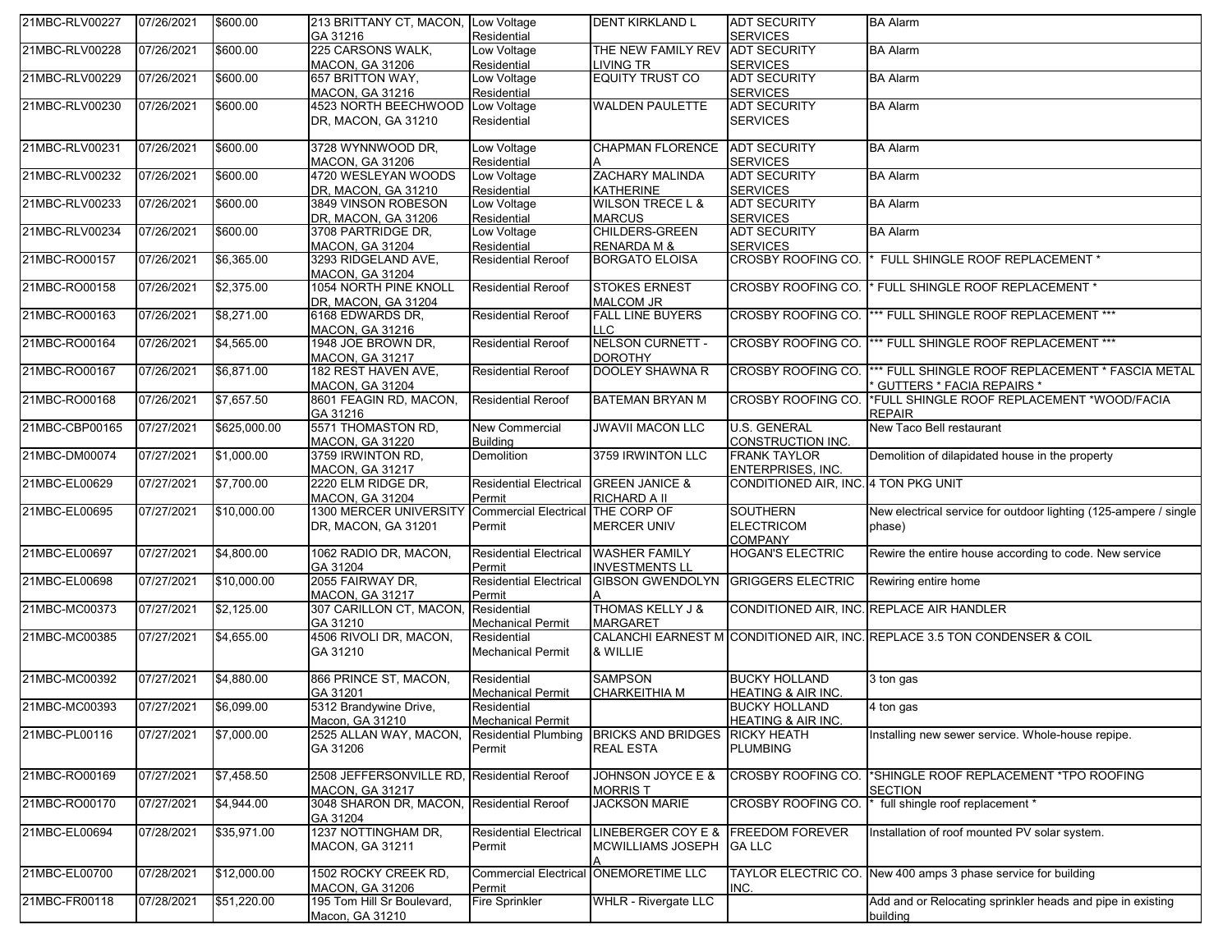| 21MBC-RLV00227 | 07/26/2021 | \$600.00     | 213 BRITTANY CT, MACON, Low Voltage           |                                          | <b>DENT KIRKLAND L</b>                          | <b>ADT SECURITY</b>                    | <b>BA Alarm</b>                                                                                          |
|----------------|------------|--------------|-----------------------------------------------|------------------------------------------|-------------------------------------------------|----------------------------------------|----------------------------------------------------------------------------------------------------------|
| 21MBC-RLV00228 |            | \$600.00     | GA 31216<br>225 CARSONS WALK,                 | Residential<br>Low Voltage               | THE NEW FAMILY REV                              | <b>SERVICES</b><br><b>ADT SECURITY</b> | <b>BA Alarm</b>                                                                                          |
|                | 07/26/2021 |              |                                               | Residential                              |                                                 | <b>SERVICES</b>                        |                                                                                                          |
|                |            | \$600.00     | <b>MACON, GA 31206</b><br>657 BRITTON WAY,    | Low Voltage                              | LIVING TR<br><b>EQUITY TRUST CO</b>             | <b>ADT SECURITY</b>                    | <b>BA Alarm</b>                                                                                          |
| 21MBC-RLV00229 | 07/26/2021 |              | <b>MACON, GA 31216</b>                        | Residential                              |                                                 | <b>SERVICES</b>                        |                                                                                                          |
| 21MBC-RLV00230 | 07/26/2021 | \$600.00     | 4523 NORTH BEECHWOOD                          | Low Voltage                              | <b>WALDEN PAULETTE</b>                          | <b>ADT SECURITY</b>                    | <b>BA Alarm</b>                                                                                          |
|                |            |              | DR, MACON, GA 31210                           | Residential                              |                                                 | <b>SERVICES</b>                        |                                                                                                          |
| 21MBC-RLV00231 | 07/26/2021 | \$600.00     | 3728 WYNNWOOD DR,                             | Low Voltage                              | <b>CHAPMAN FLORENCE</b>                         | <b>ADT SECURITY</b>                    | <b>BA Alarm</b>                                                                                          |
|                |            |              | MACON, GA 31206                               | Residential                              |                                                 | <b>SERVICES</b>                        |                                                                                                          |
| 21MBC-RLV00232 | 07/26/2021 | \$600.00     | 4720 WESLEYAN WOODS                           | Low Voltage                              | <b>ZACHARY MALINDA</b>                          | <b>ADT SECURITY</b>                    | <b>BA Alarm</b>                                                                                          |
|                |            |              | DR, MACON, GA 31210                           | Residential                              | <b>KATHERINE</b>                                | <b>SERVICES</b>                        |                                                                                                          |
| 21MBC-RLV00233 | 07/26/2021 | \$600.00     | 3849 VINSON ROBESON                           | Low Voltage                              | <b>WILSON TRECE L &amp;</b>                     | <b>ADT SECURITY</b>                    | <b>BA Alarm</b>                                                                                          |
|                |            |              | DR, MACON, GA 31206                           | Residential                              | <b>MARCUS</b><br>CHILDERS-GREEN                 | <b>SERVICES</b>                        |                                                                                                          |
| 21MBC-RLV00234 | 07/26/2021 | \$600.00     | 3708 PARTRIDGE DR,                            | Low Voltage                              |                                                 | <b>ADT SECURITY</b><br><b>SERVICES</b> | <b>BA Alarm</b>                                                                                          |
| 21MBC-RO00157  | 07/26/2021 | \$6,365.00   | <b>MACON, GA 31204</b><br>3293 RIDGELAND AVE, | Residential<br><b>Residential Reroof</b> | <b>RENARDA M &amp;</b><br><b>BORGATO ELOISA</b> | <b>CROSBY ROOFING CO.</b>              | FULL SHINGLE ROOF REPLACEMENT *                                                                          |
|                |            |              | MACON, GA 31204                               |                                          |                                                 |                                        |                                                                                                          |
| 21MBC-RO00158  | 07/26/2021 | \$2,375.00   | 1054 NORTH PINE KNOLL                         | <b>Residential Reroof</b>                | <b>STOKES ERNEST</b>                            |                                        | CROSBY ROOFING CO.  * FULL SHINGLE ROOF REPLACEMENT *                                                    |
|                |            |              | DR, MACON, GA 31204                           |                                          | <b>MALCOM JR</b>                                |                                        |                                                                                                          |
| 21MBC-RO00163  | 07/26/2021 | \$8,271.00   | 6168 EDWARDS DR,                              | <b>Residential Reroof</b>                | <b>FALL LINE BUYERS</b>                         | CROSBY ROOFING CO.                     | *** FULL SHINGLE ROOF REPLACEMENT ***                                                                    |
|                |            |              | MACON, GA 31216                               |                                          | LLC.                                            |                                        |                                                                                                          |
| 21MBC-RO00164  | 07/26/2021 | \$4,565.00   | 1948 JOE BROWN DR,                            | <b>Residential Reroof</b>                | NELSON CURNETT -                                |                                        | CROSBY ROOFING CO.  *** FULL SHINGLE ROOF REPLACEMENT ***                                                |
|                |            |              | <b>MACON, GA 31217</b>                        |                                          | <b>DOROTHY</b>                                  |                                        |                                                                                                          |
| 21MBC-RO00167  | 07/26/2021 | \$6,871.00   | 182 REST HAVEN AVE,<br><b>MACON. GA 31204</b> | <b>Residential Reroof</b>                | <b>DOOLEY SHAWNA R</b>                          |                                        | CROSBY ROOFING CO.  *** FULL SHINGLE ROOF REPLACEMENT * FASCIA METAL<br><b>GUTTERS * FACIA REPAIRS *</b> |
| 21MBC-RO00168  | 07/26/2021 | \$7,657.50   | 8601 FEAGIN RD, MACON,                        | <b>Residential Reroof</b>                | BATEMAN BRYAN M                                 | <b>CROSBY ROOFING CO.</b>              | *FULL SHINGLE ROOF REPLACEMENT *WOOD/FACIA                                                               |
|                |            |              | GA 31216                                      |                                          |                                                 |                                        | <b>REPAIR</b>                                                                                            |
| 21MBC-CBP00165 | 07/27/2021 | \$625,000.00 | 5571 THOMASTON RD,                            | New Commercial                           | <b>JWAVII MACON LLC</b>                         | <b>U.S. GENERAL</b>                    | New Taco Bell restaurant                                                                                 |
|                |            |              | <b>MACON, GA 31220</b>                        | <b>Building</b>                          |                                                 | CONSTRUCTION INC.                      |                                                                                                          |
| 21MBC-DM00074  | 07/27/2021 | \$1,000.00   | 3759 IRWINTON RD,                             | <b>Demolition</b>                        | 3759 IRWINTON LLC                               | <b>FRANK TAYLOR</b>                    | Demolition of dilapidated house in the property                                                          |
|                |            |              | <b>MACON, GA 31217</b>                        |                                          |                                                 | <b>ENTERPRISES, INC.</b>               |                                                                                                          |
| 21MBC-EL00629  | 07/27/2021 | \$7,700.00   | 2220 ELM RIDGE DR,                            | <b>Residential Electrical</b>            | <b>GREEN JANICE &amp;</b>                       | CONDITIONED AIR, INC. 4 TON PKG UNIT   |                                                                                                          |
|                |            |              | <b>MACON, GA 31204</b>                        | Permit                                   | RICHARD A II                                    |                                        |                                                                                                          |
| 21MBC-EL00695  | 07/27/2021 | \$10,000.00  | 1300 MERCER UNIVERSITY                        | Commercial Electrical THE CORP OF        |                                                 | <b>SOUTHERN</b>                        | New electrical service for outdoor lighting (125-ampere / single                                         |
|                |            |              | DR, MACON, GA 31201                           | Permit                                   | <b>MERCER UNIV</b>                              | <b>ELECTRICOM</b>                      | phase)                                                                                                   |
|                |            |              |                                               |                                          |                                                 | <b>COMPANY</b>                         |                                                                                                          |
| 21MBC-EL00697  | 07/27/2021 | \$4,800.00   | 1062 RADIO DR, MACON,                         | <b>Residential Electrical</b>            | <b>WASHER FAMILY</b>                            | <b>HOGAN'S ELECTRIC</b>                | Rewire the entire house according to code. New service                                                   |
|                |            |              | GA 31204                                      | Permit                                   | <b>INVESTMENTS LL</b>                           |                                        |                                                                                                          |
| 21MBC-EL00698  | 07/27/2021 | \$10,000.00  | 2055 FAIRWAY DR,                              | <b>Residential Electrical</b>            | GIBSON GWENDOLYN GRIGGERS ELECTRIC              |                                        | Rewiring entire home                                                                                     |
|                |            |              | <b>MACON, GA 31217</b>                        | Permit                                   |                                                 |                                        |                                                                                                          |
| 21MBC-MC00373  | 07/27/2021 | \$2,125.00   | 307 CARILLON CT, MACON,                       | Residential                              | <b>THOMAS KELLY J &amp;</b>                     |                                        | CONDITIONED AIR, INC. REPLACE AIR HANDLER                                                                |
| 21MBC-MC00385  | 07/27/2021 | \$4,655.00   | GA 31210<br>4506 RIVOLI DR, MACON,            | <b>Mechanical Permit</b><br>Residential  | MARGARET                                        |                                        | CALANCHI EARNEST M CONDITIONED AIR, INC. REPLACE 3.5 TON CONDENSER & COIL                                |
|                |            |              | GA 31210                                      | <b>Mechanical Permit</b>                 | & WILLIE                                        |                                        |                                                                                                          |
|                |            |              |                                               |                                          |                                                 |                                        |                                                                                                          |
| 21MBC-MC00392  | 07/27/2021 | \$4,880.00   | 866 PRINCE ST, MACON,                         | Residential                              | <b>SAMPSON</b>                                  | <b>BUCKY HOLLAND</b>                   | 3 ton gas                                                                                                |
|                |            |              | GA 31201                                      | <b>Mechanical Permit</b>                 | CHARKEITHIA M                                   | HEATING & AIR INC.                     |                                                                                                          |
| 21MBC-MC00393  | 07/27/2021 | \$6,099.00   | 5312 Brandywine Drive,                        | Residential                              |                                                 | <b>BUCKY HOLLAND</b>                   | 4 ton gas                                                                                                |
|                |            |              | Macon, GA 31210                               | <b>Mechanical Permit</b>                 |                                                 | HEATING & AIR INC.                     |                                                                                                          |
| 21MBC-PL00116  | 07/27/2021 | \$7,000.00   | 2525 ALLAN WAY, MACON,                        | Residential Plumbing                     | <b>BRICKS AND BRIDGES</b>                       | <b>RICKY HEATH</b>                     | Installing new sewer service. Whole-house repipe.                                                        |
|                |            |              | GA 31206                                      | Permit                                   | <b>REAL ESTA</b>                                | <b>PLUMBING</b>                        |                                                                                                          |
|                |            |              |                                               |                                          |                                                 |                                        |                                                                                                          |
| 21MBC-RO00169  | 07/27/2021 | \$7,458.50   | 2508 JEFFERSONVILLE RD                        | <b>Residential Reroof</b>                | JOHNSON JOYCE E &                               | <b>CROSBY ROOFING CO.</b>              | *SHINGLE ROOF REPLACEMENT *TPO ROOFING                                                                   |
|                |            |              | MACON. GA 31217                               |                                          | Morris T                                        |                                        | SECTION                                                                                                  |
| 21MBC-RO00170  | 07/27/2021 | \$4,944.00   | 3048 SHARON DR, MACON,<br>GA 31204            | <b>Residential Reroof</b>                | <b>JACKSON MARIE</b>                            | <b>CROSBY ROOFING CO.</b>              | * full shingle roof replacement *                                                                        |
| 21MBC-EL00694  | 07/28/2021 | \$35,971.00  | 1237 NOTTINGHAM DR,                           | <b>Residential Electrical</b>            | LINEBERGER COY E &                              | <b>FREEDOM FOREVER</b>                 | Installation of roof mounted PV solar system.                                                            |
|                |            |              | MACON, GA 31211                               | Permit                                   | MCWILLIAMS JOSEPH                               | <b>GALLC</b>                           |                                                                                                          |
|                |            |              |                                               |                                          |                                                 |                                        |                                                                                                          |
| 21MBC-EL00700  | 07/28/2021 | \$12,000.00  | 1502 ROCKY CREEK RD,                          |                                          | <b>Commercial Electrical ONEMORETIME LLC</b>    |                                        | TAYLOR ELECTRIC CO. New 400 amps 3 phase service for building                                            |
|                |            |              | MACON, GA 31206                               | Permit                                   |                                                 | INC.                                   |                                                                                                          |
| 21MBC-FR00118  | 07/28/2021 | \$51,220.00  | 195 Tom Hill Sr Boulevard,                    | <b>Fire Sprinkler</b>                    | <b>WHLR - Rivergate LLC</b>                     |                                        | Add and or Relocating sprinkler heads and pipe in existing                                               |
|                |            |              | Macon, GA 31210                               |                                          |                                                 |                                        | building                                                                                                 |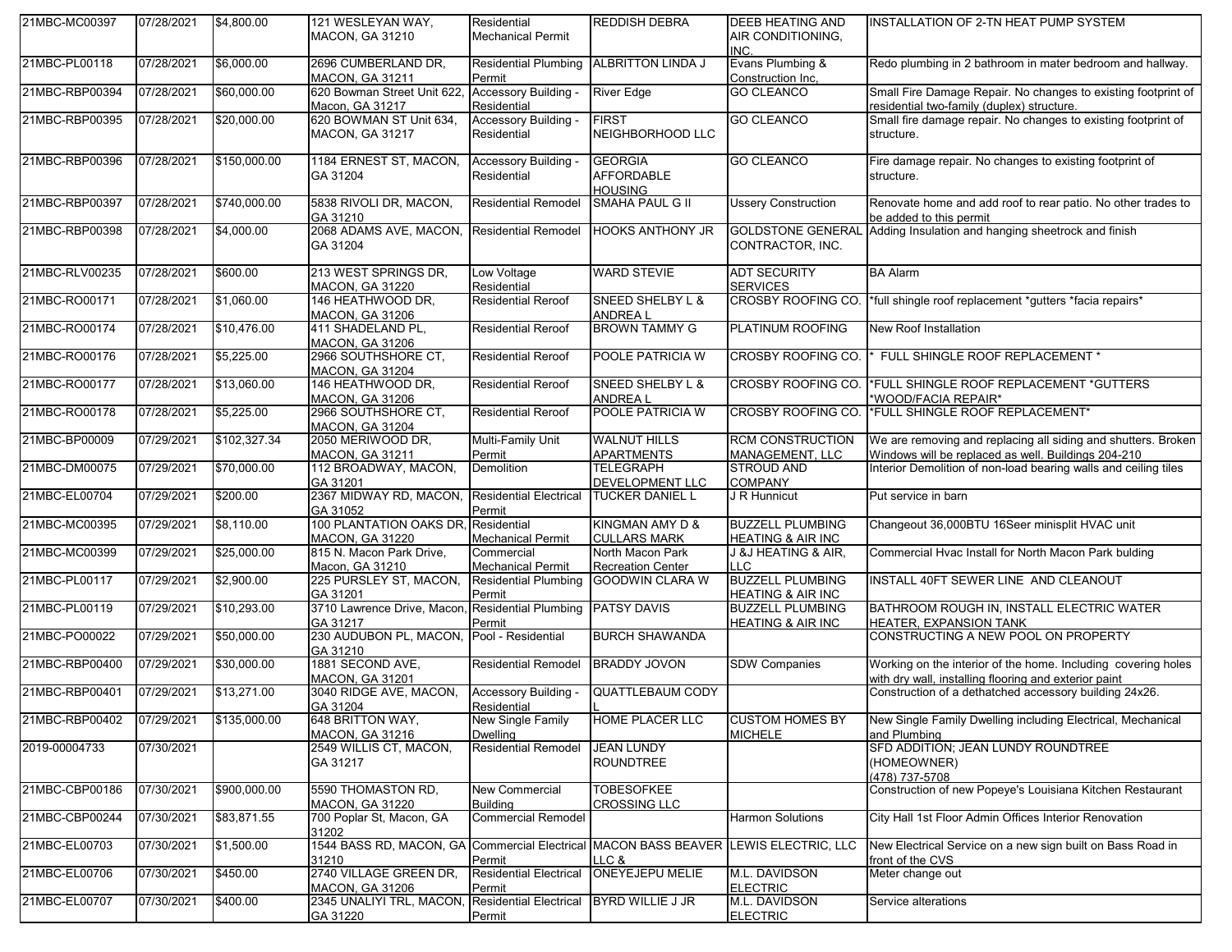| 21MBC-MC00397  | 07/28/2021 | \$4,800.00   | 121 WESLEYAN WAY,                                                                            | Residential                              | <b>REDDISH DEBRA</b>                                  | <b>DEEB HEATING AND</b>                                 | INSTALLATION OF 2-TN HEAT PUMP SYSTEM                                                                                  |
|----------------|------------|--------------|----------------------------------------------------------------------------------------------|------------------------------------------|-------------------------------------------------------|---------------------------------------------------------|------------------------------------------------------------------------------------------------------------------------|
|                |            |              | <b>MACON, GA 31210</b>                                                                       | <b>Mechanical Permit</b>                 |                                                       | AIR CONDITIONING,<br>INC.                               |                                                                                                                        |
| 21MBC-PL00118  | 07/28/2021 | \$6,000.00   | 2696 CUMBERLAND DR.<br><b>MACON, GA 31211</b>                                                | <b>Residential Plumbing</b><br>Permit    | <b>ALBRITTON LINDA J</b>                              | Evans Plumbing &<br>Construction Inc,                   | Redo plumbing in 2 bathroom in mater bedroom and hallway.                                                              |
| 21MBC-RBP00394 | 07/28/2021 | \$60,000.00  | 620 Bowman Street Unit 622.<br>Macon, GA 31217                                               | Accessory Building<br>Residential        | <b>River Edge</b>                                     | <b>GO CLEANCO</b>                                       | Small Fire Damage Repair. No changes to existing footprint of<br>residential two-family (duplex) structure.            |
| 21MBC-RBP00395 | 07/28/2021 | \$20,000.00  | 620 BOWMAN ST Unit 634,<br><b>MACON, GA 31217</b>                                            | Accessory Building<br>Residential        | <b>FIRST</b><br>NEIGHBORHOOD LLC                      | <b>GO CLEANCO</b>                                       | Small fire damage repair. No changes to existing footprint of<br>structure.                                            |
| 21MBC-RBP00396 | 07/28/2021 | \$150,000.00 | 1184 ERNEST ST, MACON,<br>GA 31204                                                           | <b>Accessory Building</b><br>Residential | <b>GEORGIA</b><br><b>AFFORDABLE</b><br><b>HOUSING</b> | <b>GO CLEANCO</b>                                       | Fire damage repair. No changes to existing footprint of<br>structure.                                                  |
| 21MBC-RBP00397 | 07/28/2021 | \$740,000.00 | 5838 RIVOLI DR, MACON,<br>GA 31210                                                           | <b>Residential Remodel</b>               | <b>SMAHA PAUL G II</b>                                | <b>Ussery Construction</b>                              | Renovate home and add roof to rear patio. No other trades to<br>be added to this permit                                |
| 21MBC-RBP00398 | 07/28/2021 | \$4,000.00   | 2068 ADAMS AVE, MACON,<br>GA 31204                                                           | <b>Residential Remodel</b>               | <b>HOOKS ANTHONY JR</b>                               | <b>GOLDSTONE GENERAL</b><br>CONTRACTOR, INC.            | Adding Insulation and hanging sheetrock and finish                                                                     |
| 21MBC-RLV00235 | 07/28/2021 | \$600.00     | 213 WEST SPRINGS DR,<br><b>MACON, GA 31220</b>                                               | Low Voltage<br>Residential               | <b>WARD STEVIE</b>                                    | <b>ADT SECURITY</b><br><b>SERVICES</b>                  | <b>BA Alarm</b>                                                                                                        |
| 21MBC-RO00171  | 07/28/2021 | \$1,060.00   | 146 HEATHWOOD DR,<br><b>MACON, GA 31206</b>                                                  | <b>Residential Reroof</b>                | <b>SNEED SHELBY L &amp;</b><br><b>ANDREAL</b>         | <b>CROSBY ROOFING CO.</b>                               | *full shingle roof replacement *gutters *facia repairs*                                                                |
| 21MBC-RO00174  | 07/28/2021 | \$10,476.00  | 411 SHADELAND PL,<br><b>MACON, GA 31206</b>                                                  | <b>Residential Reroof</b>                | <b>BROWN TAMMY G</b>                                  | <b>PLATINUM ROOFING</b>                                 | New Roof Installation                                                                                                  |
| 21MBC-RO00176  | 07/28/2021 | \$5,225.00   | 2966 SOUTHSHORE CT.<br><b>MACON, GA 31204</b>                                                | <b>Residential Reroof</b>                | POOLE PATRICIA W                                      | <b>CROSBY ROOFING CO.</b>                               | FULL SHINGLE ROOF REPLACEMENT *                                                                                        |
| 21MBC-RO00177  | 07/28/2021 | \$13,060.00  | 146 HEATHWOOD DR,<br><b>MACON, GA 31206</b>                                                  | <b>Residential Reroof</b>                | <b>SNEED SHELBY L &amp;</b><br><b>ANDREAL</b>         | <b>CROSBY ROOFING CO.</b>                               | *FULL SHINGLE ROOF REPLACEMENT *GUTTERS<br>*WOOD/FACIA REPAIR*                                                         |
| 21MBC-RO00178  | 07/28/2021 | \$5,225.00   | 2966 SOUTHSHORE CT,<br><b>MACON, GA 31204</b>                                                | <b>Residential Reroof</b>                | POOLE PATRICIA W                                      | <b>CROSBY ROOFING CO.</b>                               | *FULL SHINGLE ROOF REPLACEMENT*                                                                                        |
| 21MBC-BP00009  | 07/29/2021 | \$102,327.34 | 2050 MERIWOOD DR,<br><b>MACON, GA 31211</b>                                                  | Multi-Family Unit<br>Permit              | <b>WALNUT HILLS</b><br><b>APARTMENTS</b>              | <b>RCM CONSTRUCTION</b><br><b>MANAGEMENT, LLC</b>       | We are removing and replacing all siding and shutters. Broken<br>Windows will be replaced as well. Buildings 204-210   |
| 21MBC-DM00075  | 07/29/2021 | \$70,000.00  | 112 BROADWAY, MACON,<br>GA 31201                                                             | <b>Demolition</b>                        | <b>TELEGRAPH</b><br>DEVELOPMENT LLC                   | <b>STROUD AND</b><br><b>COMPANY</b>                     | Interior Demolition of non-load bearing walls and ceiling tiles                                                        |
| 21MBC-EL00704  | 07/29/2021 | \$200.00     | 2367 MIDWAY RD, MACON,<br>GA 31052                                                           | <b>Residential Electrical</b><br>Permit  | <b>TUCKER DANIEL L</b>                                | J R Hunnicut                                            | Put service in barn                                                                                                    |
| 21MBC-MC00395  | 07/29/2021 | \$8,110.00   | 100 PLANTATION OAKS DR,<br><b>MACON, GA 31220</b>                                            | Residential<br><b>Mechanical Permit</b>  | KINGMAN AMY D &<br><b>CULLARS MARK</b>                | <b>BUZZELL PLUMBING</b><br><b>HEATING &amp; AIR INC</b> | Changeout 36,000BTU 16Seer minisplit HVAC unit                                                                         |
| 21MBC-MC00399  | 07/29/2021 | \$25,000.00  | 815 N. Macon Park Drive,<br>Macon, GA 31210                                                  | Commercial<br><b>Mechanical Permit</b>   | North Macon Park<br><b>Recreation Center</b>          | J &J HEATING & AIR,<br><b>LLC</b>                       | Commercial Hvac Install for North Macon Park bulding                                                                   |
| 21MBC-PL00117  | 07/29/2021 | \$2,900.00   | 225 PURSLEY ST, MACON,<br>GA 31201                                                           | <b>Residential Plumbing</b><br>Permit    | <b>GOODWIN CLARA W</b>                                | <b>BUZZELL PLUMBING</b><br><b>HEATING &amp; AIR INC</b> | INSTALL 40FT SEWER LINE AND CLEANOUT                                                                                   |
| 21MBC-PL00119  | 07/29/2021 | \$10,293.00  | 3710 Lawrence Drive, Macon<br>GA 31217                                                       | <b>Residential Plumbing</b><br>Permit    | <b>PATSY DAVIS</b>                                    | <b>BUZZELL PLUMBING</b><br><b>HEATING &amp; AIR INC</b> | BATHROOM ROUGH IN, INSTALL ELECTRIC WATER<br>HEATER, EXPANSION TANK                                                    |
| 21MBC-PO00022  | 07/29/2021 | \$50,000.00  | 230 AUDUBON PL, MACON,<br>GA 31210                                                           | Pool - Residential                       | <b>BURCH SHAWANDA</b>                                 |                                                         | CONSTRUCTING A NEW POOL ON PROPERTY                                                                                    |
| 21MBC-RBP00400 | 07/29/2021 | \$30,000.00  | 1881 SECOND AVE,<br><b>MACON, GA 31201</b>                                                   | <b>Residential Remodel</b>               | <b>BRADDY JOVON</b>                                   | <b>SDW Companies</b>                                    | Working on the interior of the home. Including covering holes<br>with dry wall, installing flooring and exterior paint |
| 21MBC-RBP00401 | 07/29/2021 | \$13,271.00  | 3040 RIDGE AVE, MACON,<br>GA 31204                                                           | Accessory Building -<br>Residential      | <b>QUATTLEBAUM CODY</b>                               |                                                         | Construction of a dethatched accessory building 24x26.                                                                 |
| 21MBC-RBP00402 | 07/29/2021 | \$135,000.00 | 648 BRITTON WAY,<br><b>MACON, GA 31216</b>                                                   | New Single Family<br><b>Dwelling</b>     | <b>HOME PLACER LLC</b>                                | <b>CUSTOM HOMES BY</b><br><b>MICHELE</b>                | New Single Family Dwelling including Electrical, Mechanical<br>and Plumbing                                            |
| 2019-00004733  | 07/30/2021 |              | 2549 WILLIS CT, MACON,<br>GA 31217                                                           | Residential Remodel                      | <b>JEAN LUNDY</b><br><b>ROUNDTREE</b>                 |                                                         | SFD ADDITION; JEAN LUNDY ROUNDTREE<br>(HOMEOWNER)<br>(478) 737-5708                                                    |
| 21MBC-CBP00186 | 07/30/2021 | \$900,000.00 | 5590 THOMASTON RD,<br>MACON, GA 31220                                                        | <b>New Commercial</b><br><b>Building</b> | <b>TOBESOFKEE</b><br><b>CROSSING LLC</b>              |                                                         | Construction of new Popeye's Louisiana Kitchen Restaurant                                                              |
| 21MBC-CBP00244 | 07/30/2021 | \$83,871.55  | 700 Poplar St, Macon, GA<br>31202                                                            | <b>Commercial Remodel</b>                |                                                       | <b>Harmon Solutions</b>                                 | City Hall 1st Floor Admin Offices Interior Renovation                                                                  |
| 21MBC-EL00703  | 07/30/2021 | \$1,500.00   | 1544 BASS RD, MACON, GA Commercial Electrical MACON BASS BEAVER LEWIS ELECTRIC, LLC<br>31210 | Permit                                   | LLC &                                                 |                                                         | New Electrical Service on a new sign built on Bass Road in<br>front of the CVS                                         |
| 21MBC-EL00706  | 07/30/2021 | \$450.00     | 2740 VILLAGE GREEN DR,<br>MACON, GA 31206                                                    | <b>Residential Electrical</b><br>Permit  | <b>ONEYEJEPU MELIE</b>                                | M.L. DAVIDSON<br><b>ELECTRIC</b>                        | Meter change out                                                                                                       |
| 21MBC-EL00707  | 07/30/2021 | \$400.00     | 2345 UNALIYI TRL, MACON,<br>GA 31220                                                         | <b>Residential Electrical</b><br>Permit  | BYRD WILLIE J JR                                      | M.L. DAVIDSON<br><b>ELECTRIC</b>                        | Service alterations                                                                                                    |